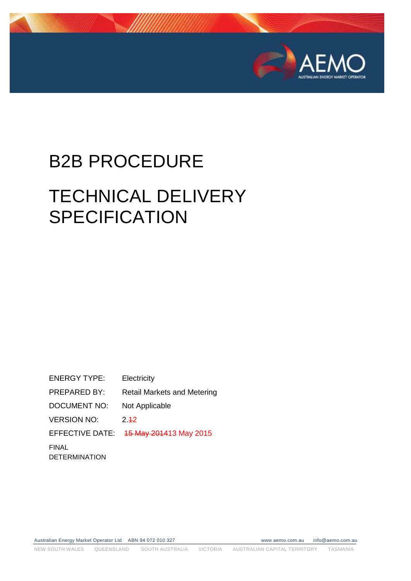

# B2B PROCEDURE

# TECHNICAL DELIVERY **SPECIFICATION**

ENERGY TYPE: Electricity PREPARED BY: Retail Markets and Metering DOCUMENT NO: Not Applicable VERSION NO: 2.42 EFFECTIVE DATE: 15 May 201413 May 2015 FINAL DETERMINATION

Australian Energy Market Operator Ltd ABN 94 072 010 327 www aemo.com.au info@aemo.com.au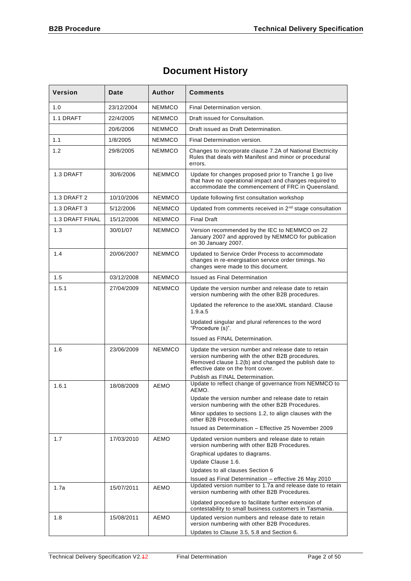# **Document History**

| <b>Version</b>         | Date       | <b>Author</b> | <b>Comments</b>                                                                                                                                                                                         |  |
|------------------------|------------|---------------|---------------------------------------------------------------------------------------------------------------------------------------------------------------------------------------------------------|--|
| 1.0                    | 23/12/2004 | <b>NEMMCO</b> | Final Determination version.                                                                                                                                                                            |  |
| 1.1 DRAFT              | 22/4/2005  | <b>NEMMCO</b> | Draft issued for Consultation.                                                                                                                                                                          |  |
|                        | 20/6/2006  | <b>NEMMCO</b> | Draft issued as Draft Determination.                                                                                                                                                                    |  |
| 1.1                    | 1/8/2005   | NEMMCO        | Final Determination version.                                                                                                                                                                            |  |
| 1.2                    | 29/8/2005  | NEMMCO        | Changes to incorporate clause 7.2A of National Electricity<br>Rules that deals with Manifest and minor or procedural<br>errors.                                                                         |  |
| 1.3 DRAFT              | 30/6/2006  | <b>NEMMCO</b> | Update for changes proposed prior to Tranche 1 go live<br>that have no operational impact and changes required to<br>accommodate the commencement of FRC in Queensland.                                 |  |
| 1.3 DRAFT 2            | 10/10/2006 | <b>NEMMCO</b> | Update following first consultation workshop                                                                                                                                                            |  |
| 1.3 DRAFT 3            | 5/12/2006  | NEMMCO        | Updated from comments received in 2 <sup>nd</sup> stage consultation                                                                                                                                    |  |
| <b>1.3 DRAFT FINAL</b> | 15/12/2006 | <b>NEMMCO</b> | <b>Final Draft</b>                                                                                                                                                                                      |  |
| 1.3                    | 30/01/07   | <b>NEMMCO</b> | Version recommended by the IEC to NEMMCO on 22<br>January 2007 and approved by NEMMCO for publication<br>on 30 January 2007.                                                                            |  |
| 1.4                    | 20/06/2007 | <b>NEMMCO</b> | Updated to Service Order Process to accommodate<br>changes in re-energisation service order timings. No<br>changes were made to this document.                                                          |  |
| 1.5                    | 03/12/2008 | <b>NEMMCO</b> | <b>Issued as Final Determination</b>                                                                                                                                                                    |  |
| 1.5.1                  | 27/04/2009 | NEMMCO        | Update the version number and release date to retain<br>version numbering with the other B2B procedures.                                                                                                |  |
|                        |            |               | Updated the reference to the aseXML standard. Clause<br>1.9.a.5                                                                                                                                         |  |
|                        |            |               | Updated singular and plural references to the word<br>"Procedure (s)".                                                                                                                                  |  |
|                        |            |               | Issued as FINAL Determination.                                                                                                                                                                          |  |
| 1.6                    | 23/06/2009 | <b>NEMMCO</b> | Update the version number and release date to retain<br>version numbering with the other B2B procedures.<br>Removed clause 1.2(b) and changed the publish date to<br>effective date on the front cover. |  |
|                        |            |               | Publish as FINAL Determination.<br>Update to reflect change of governance from NEMMCO to                                                                                                                |  |
| 1.6.1                  | 18/08/2009 | <b>AEMO</b>   | AEMO.                                                                                                                                                                                                   |  |
|                        |            |               | Update the version number and release date to retain<br>version numbering with the other B2B Procedures.                                                                                                |  |
|                        |            |               | Minor updates to sections 1.2, to align clauses with the<br>other B2B Procedures.                                                                                                                       |  |
|                        |            |               | Issued as Determination - Effective 25 November 2009                                                                                                                                                    |  |
| 1.7                    | 17/03/2010 | <b>AEMO</b>   | Updated version numbers and release date to retain<br>version numbering with other B2B Procedures.<br>Graphical updates to diagrams.                                                                    |  |
|                        |            |               | Update Clause 1.6.                                                                                                                                                                                      |  |
|                        |            |               | Updates to all clauses Section 6<br>Issued as Final Determination - effective 26 May 2010                                                                                                               |  |
| 1.7a                   | 15/07/2011 | AEMO          | Updated version number to 1.7a and release date to retain<br>version numbering with other B2B Procedures.                                                                                               |  |
|                        |            |               | Updated procedure to facilitate further extension of<br>contestability to small business customers in Tasmania.                                                                                         |  |
| 1.8                    | 15/08/2011 | AEMO          | Updated version numbers and release date to retain<br>version numbering with other B2B Procedures.<br>Updates to Clause 3.5, 5.8 and Section 6.                                                         |  |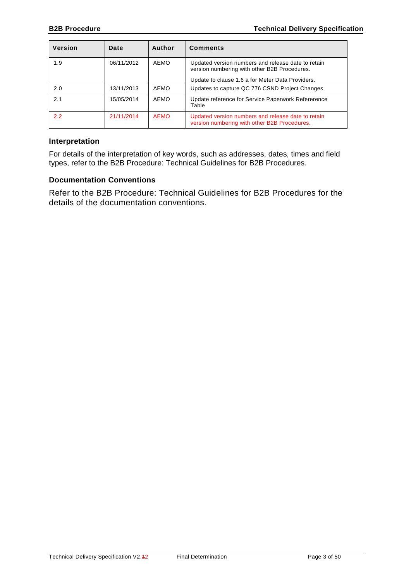| <b>Version</b> | Date       | Author      | <b>Comments</b>                                                                                                                                        |
|----------------|------------|-------------|--------------------------------------------------------------------------------------------------------------------------------------------------------|
| 1.9            | 06/11/2012 | AEMO        | Updated version numbers and release date to retain<br>version numbering with other B2B Procedures.<br>Update to clause 1.6 a for Meter Data Providers. |
|                |            |             |                                                                                                                                                        |
| 2.0            | 13/11/2013 | AEMO        | Updates to capture QC 776 CSND Project Changes                                                                                                         |
| 2.1            | 15/05/2014 | AEMO        | Update reference for Service Paperwork Refererence<br>Table                                                                                            |
| 2.2            | 21/11/2014 | <b>AEMO</b> | Updated version numbers and release date to retain<br>version numbering with other B2B Procedures.                                                     |

#### **Interpretation**

For details of the interpretation of key words, such as addresses, dates, times and field types, refer to the B2B Procedure: Technical Guidelines for B2B Procedures.

#### **Documentation Conventions**

Refer to the B2B Procedure: Technical Guidelines for B2B Procedures for the details of the documentation conventions.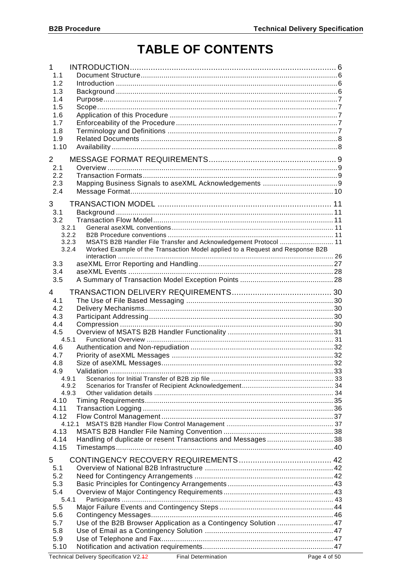# **TABLE OF CONTENTS**

| $\mathbf 1$<br>1.1<br>1.2<br>1.3<br>1.4<br>1.5<br>1.6<br>1.7<br>1.8<br>1.9<br>1.10<br>$\mathbf{2}^{\prime}$                                                         |                                                                                                                                                   |  |
|---------------------------------------------------------------------------------------------------------------------------------------------------------------------|---------------------------------------------------------------------------------------------------------------------------------------------------|--|
| 2.1<br>2.2<br>2.3<br>2.4                                                                                                                                            |                                                                                                                                                   |  |
| 3<br>3.1<br>3.2<br>3.2.1<br>3.2.2<br>3.2.3<br>3.2.4<br>3.3                                                                                                          | MSATS B2B Handler File Transfer and Acknowledgement Protocol  11<br>Worked Example of the Transaction Model applied to a Request and Response B2B |  |
| 3.4<br>3.5                                                                                                                                                          |                                                                                                                                                   |  |
| 4<br>4.1<br>4.2<br>4.3<br>4.4<br>4.5<br>4.5.1<br>4.6<br>4.7<br>4.8<br>4.9<br>4.9.1<br>4.9.2<br>4.9.3<br>4.10<br>4.11<br>4.12<br>4.12.1<br>4.13<br>4.14<br>4.15<br>5 | Handling of duplicate or resent Transactions and Messages38                                                                                       |  |
| 5.1<br>5.2<br>5.3<br>5.4<br>5.4.1<br>5.5<br>5.6<br>5.7<br>5.8<br>5.9                                                                                                | Use of the B2B Browser Application as a Contingency Solution  47                                                                                  |  |
| 5.10                                                                                                                                                                |                                                                                                                                                   |  |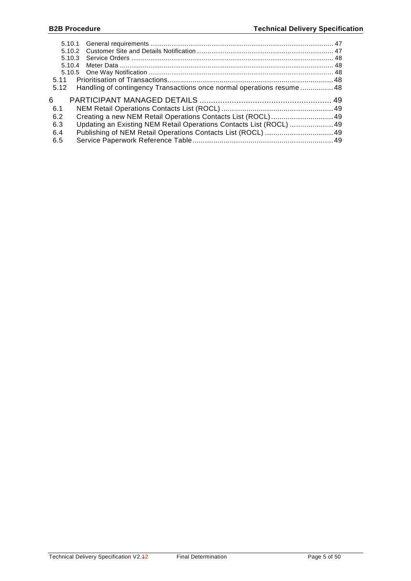| 5.11 |                                                                       |  |
|------|-----------------------------------------------------------------------|--|
| 5.12 | Handling of contingency Transactions once normal operations resume 48 |  |
|      |                                                                       |  |
| 6    |                                                                       |  |
| -6.1 |                                                                       |  |
| 6.2  |                                                                       |  |
| 6.3  | Updating an Existing NEM Retail Operations Contacts List (ROCL)  49   |  |
| 6.4  |                                                                       |  |
| 6.5  |                                                                       |  |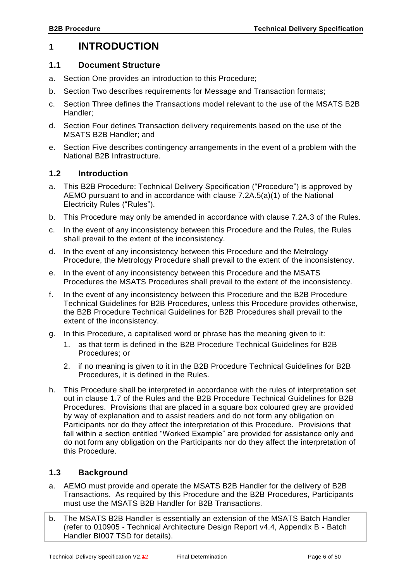# <span id="page-5-0"></span>**1 INTRODUCTION**

#### <span id="page-5-1"></span>**1.1 Document Structure**

- a. Section One provides an introduction to this Procedure;
- b. Section Two describes requirements for Message and Transaction formats;
- c. Section Three defines the Transactions model relevant to the use of the MSATS B2B Handler;
- d. Section Four defines Transaction delivery requirements based on the use of the MSATS B2B Handler; and
- e. Section Five describes contingency arrangements in the event of a problem with the National B2B Infrastructure.

#### <span id="page-5-2"></span>**1.2 Introduction**

- a. This B2B Procedure: Technical Delivery Specification ("Procedure") is approved by AEMO pursuant to and in accordance with clause 7.2A.5(a)(1) of the National Electricity Rules ("Rules").
- b. This Procedure may only be amended in accordance with clause 7.2A.3 of the Rules.
- c. In the event of any inconsistency between this Procedure and the Rules, the Rules shall prevail to the extent of the inconsistency.
- d. In the event of any inconsistency between this Procedure and the Metrology Procedure, the Metrology Procedure shall prevail to the extent of the inconsistency.
- e. In the event of any inconsistency between this Procedure and the MSATS Procedures the MSATS Procedures shall prevail to the extent of the inconsistency.
- f. In the event of any inconsistency between this Procedure and the B2B Procedure Technical Guidelines for B2B Procedures, unless this Procedure provides otherwise, the B2B Procedure Technical Guidelines for B2B Procedures shall prevail to the extent of the inconsistency.
- g. In this Procedure, a capitalised word or phrase has the meaning given to it:
	- 1. as that term is defined in the B2B Procedure Technical Guidelines for B2B Procedures; or
	- 2. if no meaning is given to it in the B2B Procedure Technical Guidelines for B2B Procedures, it is defined in the Rules.
- h. This Procedure shall be interpreted in accordance with the rules of interpretation set out in clause 1.7 of the Rules and the B2B Procedure Technical Guidelines for B2B Procedures. Provisions that are placed in a square box coloured grey are provided by way of explanation and to assist readers and do not form any obligation on Participants nor do they affect the interpretation of this Procedure. Provisions that fall within a section entitled "Worked Example" are provided for assistance only and do not form any obligation on the Participants nor do they affect the interpretation of this Procedure.

## <span id="page-5-3"></span>**1.3 Background**

- a. AEMO must provide and operate the MSATS B2B Handler for the delivery of B2B Transactions. As required by this Procedure and the B2B Procedures, Participants must use the MSATS B2B Handler for B2B Transactions.
- b. The MSATS B2B Handler is essentially an extension of the MSATS Batch Handler (refer to 010905 - Technical Architecture Design Report v4.4, Appendix B - Batch Handler BI007 TSD for details).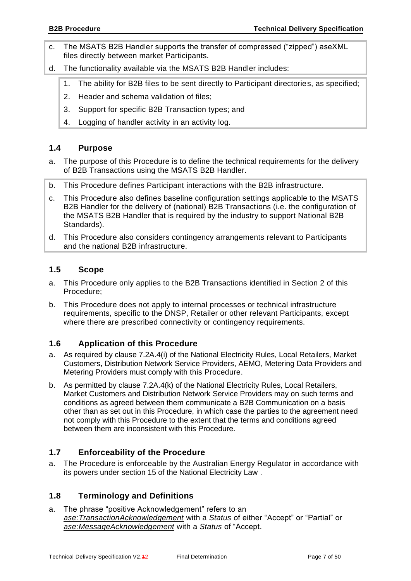- c. The MSATS B2B Handler supports the transfer of compressed ("zipped") aseXML files directly between market Participants.
- d. The functionality available via the MSATS B2B Handler includes:
	- 1. The ability for B2B files to be sent directly to Participant directories, as specified;
	- 2. Header and schema validation of files;
	- 3. Support for specific B2B Transaction types; and
	- 4. Logging of handler activity in an activity log.

# <span id="page-6-0"></span>**1.4 Purpose**

- a. The purpose of this Procedure is to define the technical requirements for the delivery of B2B Transactions using the MSATS B2B Handler.
- b. This Procedure defines Participant interactions with the B2B infrastructure.
- c. This Procedure also defines baseline configuration settings applicable to the MSATS B2B Handler for the delivery of (national) B2B Transactions (i.e. the configuration of the MSATS B2B Handler that is required by the industry to support National B2B Standards).
- d. This Procedure also considers contingency arrangements relevant to Participants and the national B2B infrastructure.

# <span id="page-6-1"></span>**1.5 Scope**

- a. This Procedure only applies to the B2B Transactions identified in Section 2 of this Procedure;
- b. This Procedure does not apply to internal processes or technical infrastructure requirements, specific to the DNSP, Retailer or other relevant Participants, except where there are prescribed connectivity or contingency requirements.

# <span id="page-6-2"></span>**1.6 Application of this Procedure**

- a. As required by clause 7.2A.4(i) of the National Electricity Rules, Local Retailers, Market Customers, Distribution Network Service Providers, AEMO, Metering Data Providers and Metering Providers must comply with this Procedure.
- b. As permitted by clause 7.2A.4(k) of the National Electricity Rules, Local Retailers, Market Customers and Distribution Network Service Providers may on such terms and conditions as agreed between them communicate a B2B Communication on a basis other than as set out in this Procedure, in which case the parties to the agreement need not comply with this Procedure to the extent that the terms and conditions agreed between them are inconsistent with this Procedure.

# <span id="page-6-3"></span>**1.7 Enforceability of the Procedure**

a. The Procedure is enforceable by the Australian Energy Regulator in accordance with its powers under section 15 of the National Electricity Law .

# <span id="page-6-4"></span>**1.8 Terminology and Definitions**

a. The phrase "positive Acknowledgement" refers to an *ase:TransactionAcknowledgement* with a *Status* of either "Accept" or "Partial" or *ase:MessageAcknowledgement* with a *Status* of "Accept.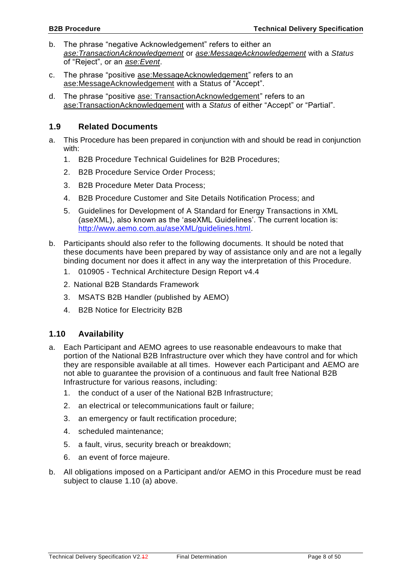- b. The phrase "negative Acknowledgement" refers to either an *ase:TransactionAcknowledgement* or *ase:MessageAcknowledgement* with a *Status* of "Reject", or an *ase:Event*.
- c. The phrase "positive ase:MessageAcknowledgement" refers to an ase:MessageAcknowledgement with a Status of "Accept".
- d. The phrase "positive ase: TransactionAcknowledgement" refers to an ase:TransactionAcknowledgement with a *Status* of either "Accept" or "Partial".

## <span id="page-7-0"></span>**1.9 Related Documents**

- a. This Procedure has been prepared in conjunction with and should be read in conjunction with:
	- 1. B2B Procedure Technical Guidelines for B2B Procedures;
	- 2. B2B Procedure Service Order Process;
	- 3. B2B Procedure Meter Data Process;
	- 4. B2B Procedure Customer and Site Details Notification Process; and
	- 5. Guidelines for Development of A Standard for Energy Transactions in XML (aseXML), also known as the 'aseXML Guidelines'. The current location is: [http://www.aemo.com.au/aseXML/guidelines.html.](http://www.aemo.com.au/aseXML/guidelines.html)
- b. Participants should also refer to the following documents. It should be noted that these documents have been prepared by way of assistance only and are not a legally binding document nor does it affect in any way the interpretation of this Procedure.
	- 1. 010905 Technical Architecture Design Report v4.4
	- 2. National B2B Standards Framework
	- 3. MSATS B2B Handler (published by AEMO)
	- 4. B2B Notice for Electricity B2B

# <span id="page-7-1"></span>**1.10 Availability**

- a. Each Participant and AEMO agrees to use reasonable endeavours to make that portion of the National B2B Infrastructure over which they have control and for which they are responsible available at all times. However each Participant and AEMO are not able to guarantee the provision of a continuous and fault free National B2B Infrastructure for various reasons, including:
	- 1. the conduct of a user of the National B2B Infrastructure;
	- 2. an electrical or telecommunications fault or failure;
	- 3. an emergency or fault rectification procedure;
	- 4. scheduled maintenance;
	- 5. a fault, virus, security breach or breakdown;
	- 6. an event of force majeure.
- b. All obligations imposed on a Participant and/or AEMO in this Procedure must be read subject to clause [1.10](#page-7-1) (a) above.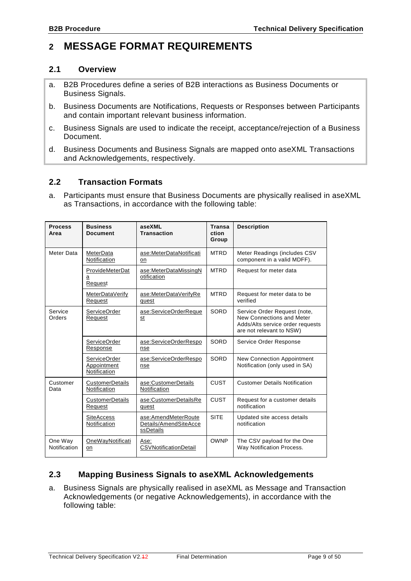# <span id="page-8-0"></span>**2 MESSAGE FORMAT REQUIREMENTS**

#### <span id="page-8-1"></span>**2.1 Overview**

- a. B2B Procedures define a series of B2B interactions as Business Documents or Business Signals.
- b. Business Documents are Notifications, Requests or Responses between Participants and contain important relevant business information.
- c. Business Signals are used to indicate the receipt, acceptance/rejection of a Business Document.
- d. Business Documents and Business Signals are mapped onto aseXML Transactions and Acknowledgements, respectively.

## <span id="page-8-2"></span>**2.2 Transaction Formats**

a. Participants must ensure that Business Documents are physically realised in aseXML as Transactions, in accordance with the following table:

| <b>Process</b><br>Area                                                                     | <b>Business</b><br><b>Document</b>                 | aseXML<br><b>Transaction</b>                              | <b>Transa</b><br>ction<br>Group                                                                                           | <b>Description</b>                                                  |
|--------------------------------------------------------------------------------------------|----------------------------------------------------|-----------------------------------------------------------|---------------------------------------------------------------------------------------------------------------------------|---------------------------------------------------------------------|
| Meter Data                                                                                 | MeterData<br>Notification                          | ase:MeterDataNotificati<br>on                             | <b>MTRD</b>                                                                                                               | Meter Readings (includes CSV<br>component in a valid MDFF).         |
|                                                                                            | ProvideMeterDat<br>a<br>Request                    | ase:MeterDataMissingN<br>otification                      | <b>MTRD</b>                                                                                                               | Request for meter data                                              |
|                                                                                            | MeterDataVerify<br>Request                         | ase:MeterDataVerifyRe<br>quest                            | <b>MTRD</b>                                                                                                               | Request for meter data to be<br>verified                            |
| Service<br><b>ServiceOrder</b><br>ase:ServiceOrderReque<br>Orders<br>Request<br>st         |                                                    | SORD                                                      | Service Order Request (note,<br>New Connections and Meter<br>Adds/Alts service order requests<br>are not relevant to NSW) |                                                                     |
|                                                                                            | <b>ServiceOrder</b><br>Response                    | ase:ServiceOrderRespo<br>nse                              | SORD                                                                                                                      | Service Order Response                                              |
|                                                                                            | <b>ServiceOrder</b><br>Appointment<br>Notification | ase:ServiceOrderRespo<br>nse                              | SORD                                                                                                                      | <b>New Connection Appointment</b><br>Notification (only used in SA) |
| Customer<br>CustomerDetails<br>ase:CustomerDetails<br>Notification<br>Notification<br>Data |                                                    | CUST                                                      | <b>Customer Details Notification</b>                                                                                      |                                                                     |
|                                                                                            | CustomerDetails<br>Request                         | ase:CustomerDetailsRe<br>quest                            | <b>CUST</b>                                                                                                               | Request for a customer details<br>notification                      |
|                                                                                            | <b>SiteAccess</b><br>Notification                  | ase:AmendMeterRoute<br>Details/AmendSiteAcce<br>ssDetails | <b>SITE</b>                                                                                                               | Updated site access details<br>notification                         |
| One Way<br>Notification                                                                    | OneWayNotificati<br>on                             | Ase:<br><b>CSVNotificationDetail</b>                      | <b>OWNP</b>                                                                                                               | The CSV payload for the One<br>Way Notification Process.            |

# <span id="page-8-3"></span>**2.3 Mapping Business Signals to aseXML Acknowledgements**

a. Business Signals are physically realised in aseXML as Message and Transaction Acknowledgements (or negative Acknowledgements), in accordance with the following table: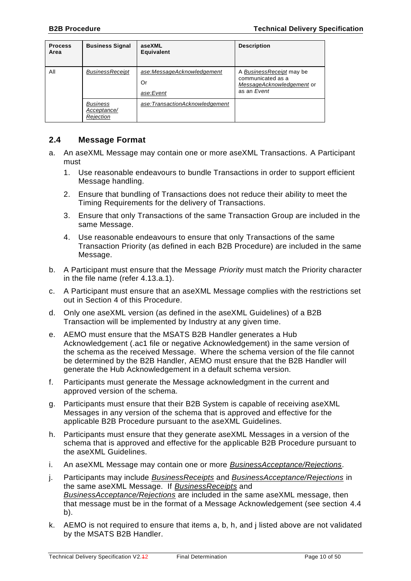| <b>Process</b><br>Area | <b>Business Signal</b>                      | aseXML<br><b>Equivalent</b>                   | <b>Description</b>                                                                        |
|------------------------|---------------------------------------------|-----------------------------------------------|-------------------------------------------------------------------------------------------|
| All                    | <b>BusinessReceipt</b>                      | ase:MessageAcknowledgement<br>Or<br>ase:Event | A BusinessReceipt may be<br>communicated as a<br>MessageAcknowledgement or<br>as an Event |
|                        | <b>Business</b><br>Acceptance/<br>Rejection | ase:TransactionAcknowledgement                |                                                                                           |

## <span id="page-9-0"></span>**2.4 Message Format**

- <span id="page-9-1"></span>a. An aseXML Message may contain one or more aseXML Transactions. A Participant must
	- 1. Use reasonable endeavours to bundle Transactions in order to support efficient Message handling.
	- 2. Ensure that bundling of Transactions does not reduce their ability to meet the Timing Requirements for the delivery of Transactions.
	- 3. Ensure that only Transactions of the same Transaction Group are included in the same Message.
	- 4. Use reasonable endeavours to ensure that only Transactions of the same Transaction Priority (as defined in each B2B Procedure) are included in the same Message.
- <span id="page-9-2"></span>b. A Participant must ensure that the Message *Priority* must match the Priority character in the file name (refer [4.13](#page-37-0)[.a.](#page-37-2)[1\)](#page-37-3).
- c. A Participant must ensure that an aseXML Message complies with the restrictions set out in Section [4](#page-29-0) of this Procedure.
- d. Only one aseXML version (as defined in the aseXML Guidelines) of a B2B Transaction will be implemented by Industry at any given time.
- e. AEMO must ensure that the MSATS B2B Handler generates a Hub Acknowledgement (.ac1 file or negative Acknowledgement) in the same version of the schema as the received Message. Where the schema version of the file cannot be determined by the B2B Handler, AEMO must ensure that the B2B Handler will generate the Hub Acknowledgement in a default schema version.
- f. Participants must generate the Message acknowledgment in the current and approved version of the schema.
- g. Participants must ensure that their B2B System is capable of receiving aseXML Messages in any version of the schema that is approved and effective for the applicable B2B Procedure pursuant to the aseXML Guidelines.
- <span id="page-9-3"></span>h. Participants must ensure that they generate aseXML Messages in a version of the schema that is approved and effective for the applicable B2B Procedure pursuant to the aseXML Guidelines.
- i. An aseXML Message may contain one or more *BusinessAcceptance/Rejections*.
- <span id="page-9-4"></span>j. Participants may include *BusinessReceipts* and *BusinessAcceptance/Rejections* in the same aseXML Message. If *BusinessReceipts* and *BusinessAcceptance/Rejections* are included in the same aseXML message, then that message must be in the format of a Message Acknowledgement (see section [4.4](#page-29-4) [b\)](#page-30-2).
- k. AEMO is not required to ensure that items [a,](#page-9-1) [b,](#page-9-2) [h,](#page-9-3) and [j](#page-9-4) listed above are not validated by the MSATS B2B Handler.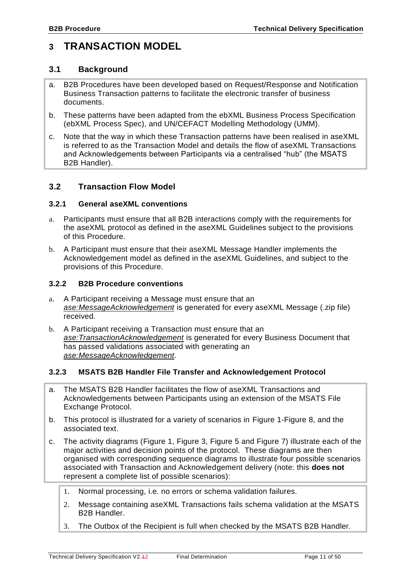# <span id="page-10-0"></span>**3 TRANSACTION MODEL**

#### <span id="page-10-1"></span>**3.1 Background**

- a. B2B Procedures have been developed based on Request/Response and Notification Business Transaction patterns to facilitate the electronic transfer of business documents.
- b. These patterns have been adapted from the ebXML Business Process Specification (ebXML Process Spec), and UN/CEFACT Modelling Methodology (UMM).
- c. Note that the way in which these Transaction patterns have been realised in aseXML is referred to as the Transaction Model and details the flow of aseXML Transactions and Acknowledgements between Participants via a centralised "hub" (the MSATS B2B Handler).

## <span id="page-10-2"></span>**3.2 Transaction Flow Model**

#### <span id="page-10-3"></span>**3.2.1 General aseXML conventions**

- a. Participants must ensure that all B2B interactions comply with the requirements for the aseXML protocol as defined in the aseXML Guidelines subject to the provisions of this Procedure.
- b. A Participant must ensure that their aseXML Message Handler implements the Acknowledgement model as defined in the aseXML Guidelines, and subject to the provisions of this Procedure.

#### <span id="page-10-4"></span>**3.2.2 B2B Procedure conventions**

- a. A Participant receiving a Message must ensure that an *ase:MessageAcknowledgement* is generated for every aseXML Message (.zip file) received.
- b. A Participant receiving a Transaction must ensure that an *ase:TransactionAcknowledgement* is generated for every Business Document that has passed validations associated with generating an *ase:MessageAcknowledgement*.

#### <span id="page-10-5"></span>**3.2.3 MSATS B2B Handler File Transfer and Acknowledgement Protocol**

- a. The MSATS B2B Handler facilitates the flow of aseXML Transactions and Acknowledgements between Participants using an extension of the MSATS File Exchange Protocol.
- b. This protocol is illustrated for a variety of scenarios in [Figure 1](#page-12-0)[-Figure 8,](#page-24-0) and the associated text.
- c. The activity diagrams [\(Figure 1,](#page-12-0) [Figure 3,](#page-17-0) [Figure 5](#page-20-0) and [Figure 7\)](#page-23-0) illustrate each of the major activities and decision points of the protocol. These diagrams are then organised with corresponding sequence diagrams to illustrate four possible scenarios associated with Transaction and Acknowledgement delivery (note: this **does not** represent a complete list of possible scenarios):
	- 1. Normal processing, i.e. no errors or schema validation failures.
	- 2. Message containing aseXML Transactions fails schema validation at the MSATS B2B Handler.
	- 3. The Outbox of the Recipient is full when checked by the MSATS B2B Handler.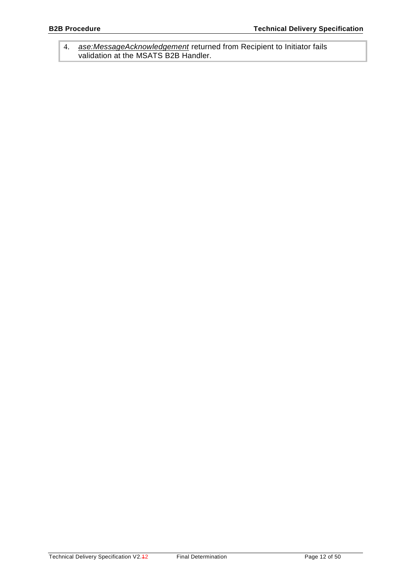4. *ase:MessageAcknowledgement* returned from Recipient to Initiator fails validation at the MSATS B2B Handler.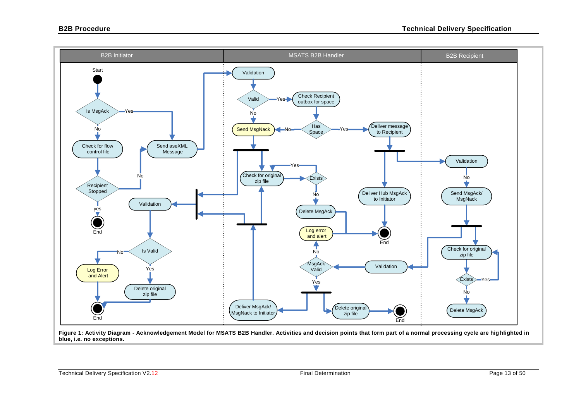

<span id="page-12-0"></span>**Figure 1: Activity Diagram - Acknowledgement Model for MSATS B2B Handler. Activities and decision points that form part of a normal processing cycle are hig hlighted in blue, i.e. no exceptions.**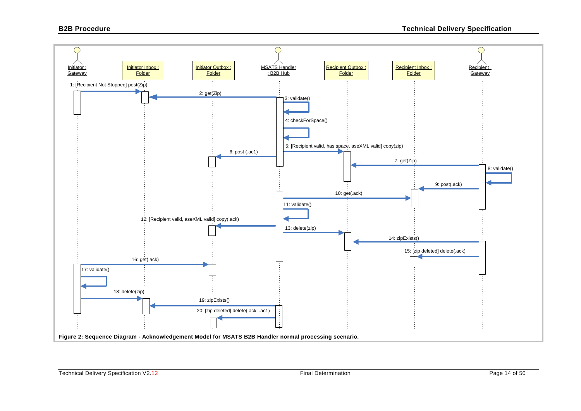<span id="page-13-0"></span>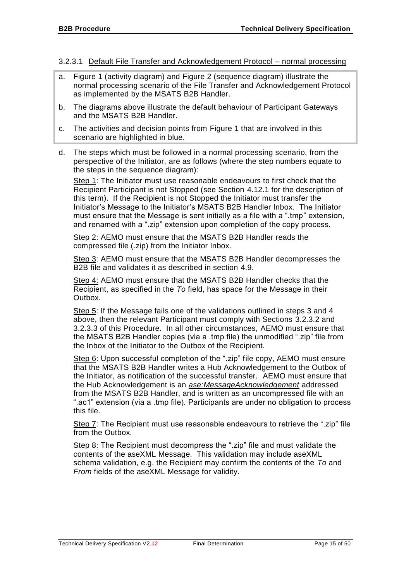#### <span id="page-14-0"></span>3.2.3.1 Default File Transfer and Acknowledgement Protocol – normal processing

- a. [Figure 1](#page-12-0) (activity diagram) and [Figure 2](#page-13-0) (sequence diagram) illustrate the normal processing scenario of the File Transfer and Acknowledgement Protocol as implemented by the MSATS B2B Handler.
- b. The diagrams above illustrate the default behaviour of Participant Gateways and the MSATS B2B Handler.
- c. The activities and decision points from [Figure 1](#page-12-0) that are involved in this scenario are highlighted in blue.
- d. The steps which must be followed in a normal processing scenario, from the perspective of the Initiator, are as follows (where the step numbers equate to the steps in the sequence diagram):

Step 1: The Initiator must use reasonable endeavours to first check that the Recipient Participant is not Stopped (see Section [4.12.1](#page-36-1) for the description of this term). If the Recipient is not Stopped the Initiator must transfer the Initiator's Message to the Initiator's MSATS B2B Handler Inbox. The Initiator must ensure that the Message is sent initially as a file with a ".tmp" extension, and renamed with a ".zip" extension upon completion of the copy process.

Step 2: AEMO must ensure that the MSATS B2B Handler reads the compressed file (.zip) from the Initiator Inbox.

Step 3: AEMO must ensure that the MSATS B2B Handler decompresses the B2B file and validates it as described in section [4.9.](#page-32-0)

Step 4: AEMO must ensure that the MSATS B2B Handler checks that the Recipient, as specified in the *To* field, has space for the Message in their Outbox.

Step 5: If the Message fails one of the validations outlined in steps 3 and 4 above, then the relevant Participant must comply with Sections [3.2.3.2](#page-17-1) and [3.2.3.3](#page-20-1) of this Procedure. In all other circumstances, AEMO must ensure that the MSATS B2B Handler copies (via a .tmp file) the unmodified ".zip" file from the Inbox of the Initiator to the Outbox of the Recipient.

Step 6: Upon successful completion of the ".zip" file copy, AEMO must ensure that the MSATS B2B Handler writes a Hub Acknowledgement to the Outbox of the Initiator, as notification of the successful transfer. AEMO must ensure that the Hub Acknowledgement is an *ase:MessageAcknowledgement* addressed from the MSATS B2B Handler, and is written as an uncompressed file with an ".ac1" extension (via a .tmp file). Participants are under no obligation to process this file.

Step 7: The Recipient must use reasonable endeavours to retrieve the ".zip" file from the Outbox.

Step 8: The Recipient must decompress the ".zip" file and must validate the contents of the aseXML Message. This validation may include aseXML schema validation, e.g. the Recipient may confirm the contents of the *To* and *From* fields of the aseXML Message for validity.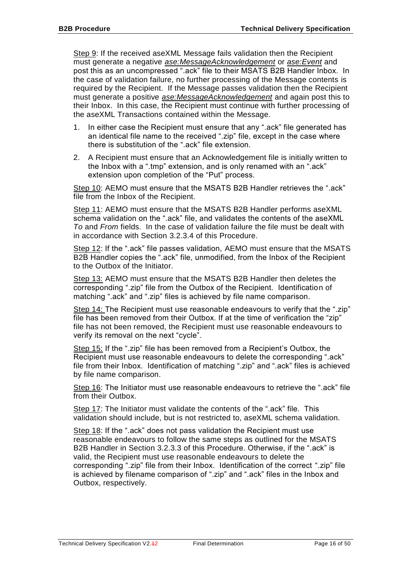Step 9: If the received aseXML Message fails validation then the Recipient must generate a negative *ase:MessageAcknowledgement* or *ase:Event* and post this as an uncompressed ".ack" file to their MSATS B2B Handler Inbox. In the case of validation failure, no further processing of the Message contents is required by the Recipient. If the Message passes validation then the Recipient must generate a positive *ase:MessageAcknowledgement* and again post this to their Inbox. In this case, the Recipient must continue with further processing of the aseXML Transactions contained within the Message.

- 1. In either case the Recipient must ensure that any ".ack" file generated has an identical file name to the received ".zip" file, except in the case where there is substitution of the ".ack" file extension.
- 2. A Recipient must ensure that an Acknowledgement file is initially written to the Inbox with a ".tmp" extension, and is only renamed with an ".ack" extension upon completion of the "Put" process.

Step 10: AEMO must ensure that the MSATS B2B Handler retrieves the ".ack" file from the Inbox of the Recipient.

Step 11: AEMO must ensure that the MSATS B2B Handler performs aseXML schema validation on the ".ack" file, and validates the contents of the aseXML *To* and *From* fields. In the case of validation failure the file must be dealt with in accordance with Section [3.2.3.4](#page-23-1) of this Procedure.

Step 12: If the ".ack" file passes validation, AEMO must ensure that the MSATS B2B Handler copies the ".ack" file, unmodified, from the Inbox of the Recipient to the Outbox of the Initiator.

Step 13: AEMO must ensure that the MSATS B2B Handler then deletes the corresponding ".zip" file from the Outbox of the Recipient. Identification of matching ".ack" and ".zip" files is achieved by file name comparison.

Step 14: The Recipient must use reasonable endeavours to verify that the ".zip" file has been removed from their Outbox. If at the time of verification the "zip" file has not been removed, the Recipient must use reasonable endeavours to verify its removal on the next "cycle".

Step 15: If the ".zip" file has been removed from a Recipient's Outbox, the Recipient must use reasonable endeavours to delete the corresponding ".ack" file from their Inbox. Identification of matching ".zip" and ".ack" files is achieved by file name comparison.

Step 16: The Initiator must use reasonable endeavours to retrieve the ".ack" file from their Outbox.

Step 17: The Initiator must validate the contents of the ".ack" file. This validation should include, but is not restricted to, aseXML schema validation.

Step 18: If the ".ack" does not pass validation the Recipient must use reasonable endeavours to follow the same steps as outlined for the MSATS B2B Handler in Section [3.2.3.3](#page-20-1) of this Procedure. Otherwise, if the ".ack" is valid, the Recipient must use reasonable endeavours to delete the corresponding ".zip" file from their Inbox. Identification of the correct ".zip" file is achieved by filename comparison of ".zip" and ".ack" files in the Inbox and Outbox, respectively.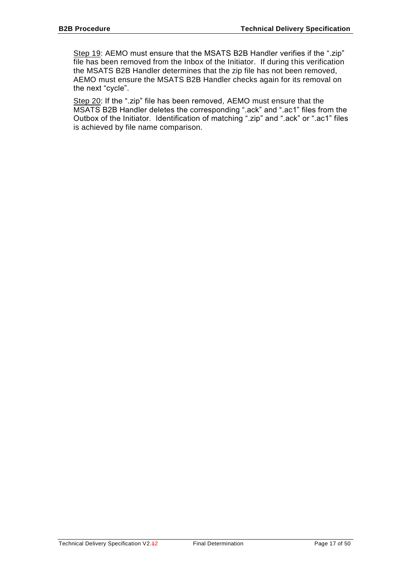Step 19: AEMO must ensure that the MSATS B2B Handler verifies if the ".zip" file has been removed from the Inbox of the Initiator. If during this verification the MSATS B2B Handler determines that the zip file has not been removed, AEMO must ensure the MSATS B2B Handler checks again for its removal on the next "cycle".

Step 20: If the ".zip" file has been removed, AEMO must ensure that the MSATS B2B Handler deletes the corresponding ".ack" and ".ac1" files from the Outbox of the Initiator. Identification of matching ".zip" and ".ack" or ".ac1" files is achieved by file name comparison.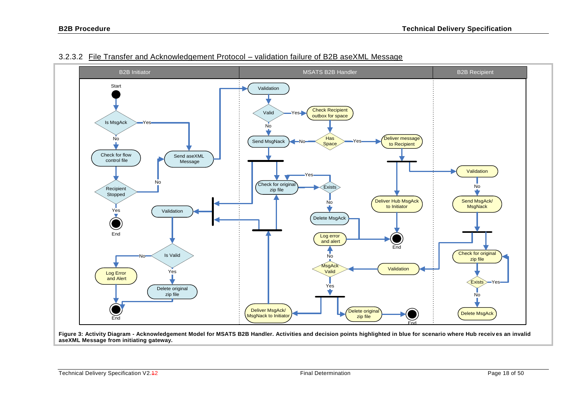

#### 3.2.3.2 File Transfer and Acknowledgement Protocol – validation failure of B2B aseXML Message

<span id="page-17-1"></span><span id="page-17-0"></span>**Figure 3: Activity Diagram - Acknowledgement Model for MSATS B2B Handler. Activities and decision points highlighted in blue for scenario where Hub receiv es an invalid aseXML Message from initiating gateway.**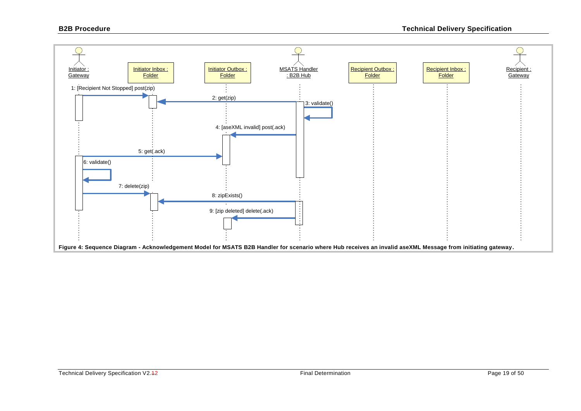<span id="page-18-0"></span>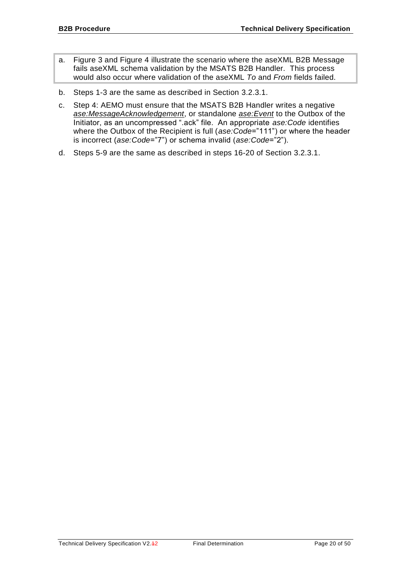- a. [Figure 3](#page-17-0) and [Figure 4](#page-18-0) illustrate the scenario where the aseXML B2B Message fails aseXML schema validation by the MSATS B2B Handler. This process would also occur where validation of the aseXML *To* and *From* fields failed.
- b. Steps 1-3 are the same as described in Section [3.2.3.1.](#page-14-0)
- c. Step 4: AEMO must ensure that the MSATS B2B Handler writes a negative *ase:MessageAcknowledgement*, or standalone *ase:Event* to the Outbox of the Initiator, as an uncompressed ".ack" file. An appropriate *ase:Code* identifies where the Outbox of the Recipient is full (*ase:Code*="111") or where the header is incorrect (*ase:Code*="7") or schema invalid (*ase:Code*="2").
- d. Steps 5-9 are the same as described in steps 16-20 of Section [3.2.3.1.](#page-14-0)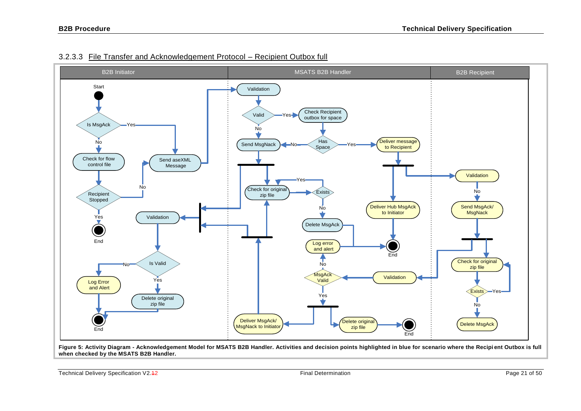

## 3.2.3.3 File Transfer and Acknowledgement Protocol – Recipient Outbox full

<span id="page-20-1"></span>**Figure 5: Activity Diagram - Acknowledgement Model for MSATS B2B Handler. Activities and decision points highlighted in blue for scenario where the Recipi ent Outbox is full when checked by the MSATS B2B Handler.**

<span id="page-20-0"></span>Technical Delivery Specification V2.42 Final Determination Page 21 of 50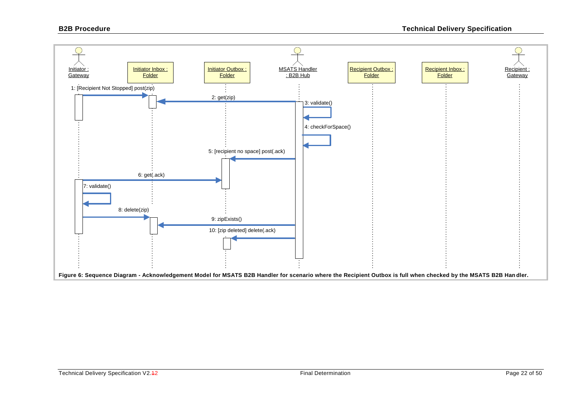<span id="page-21-0"></span>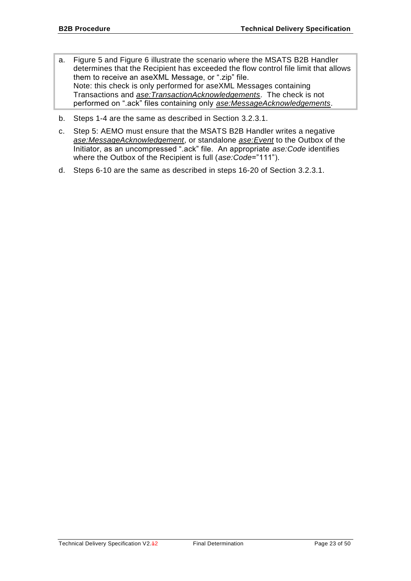- a. [Figure 5](#page-20-0) and [Figure 6](#page-21-0) illustrate the scenario where the MSATS B2B Handler determines that the Recipient has exceeded the flow control file limit that allows them to receive an aseXML Message, or ".zip" file. Note: this check is only performed for aseXML Messages containing Transactions and *ase:TransactionAcknowledgements*. The check is not performed on ".ack" files containing only *ase:MessageAcknowledgements*.
- b. Steps 1-4 are the same as described in Section [3.2.3.1.](#page-14-0)
- c. Step 5: AEMO must ensure that the MSATS B2B Handler writes a negative *ase:MessageAcknowledgement*, or standalone *ase:Event* to the Outbox of the Initiator, as an uncompressed ".ack" file. An appropriate *ase:Code* identifies where the Outbox of the Recipient is full (*ase:Code*="111").
- d. Steps 6-10 are the same as described in steps 16-20 of Section [3.2.3.1.](#page-14-0)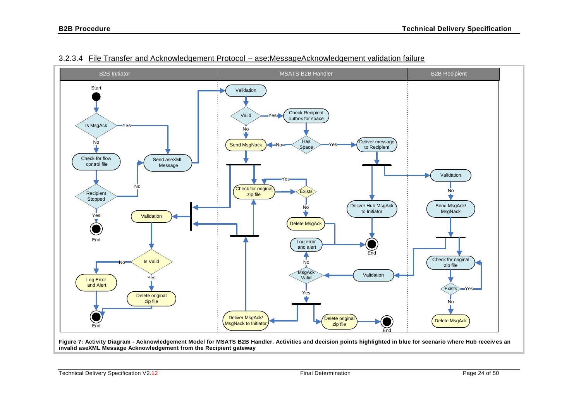

#### 3.2.3.4 File Transfer and Acknowledgement Protocol – ase:MessageAcknowledgement validation failure

<span id="page-23-1"></span><span id="page-23-0"></span>**Figure 7: Activity Diagram - Acknowledgement Model for MSATS B2B Handler. Activities and decision points highlighted in blue for scenario where Hub receiv es an invalid aseXML Message Acknowledgement from the Recipient gateway**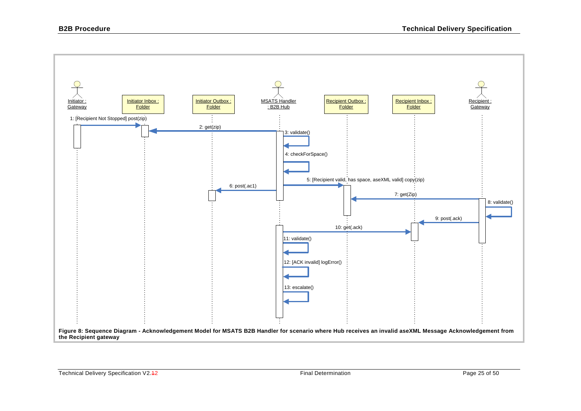<span id="page-24-0"></span>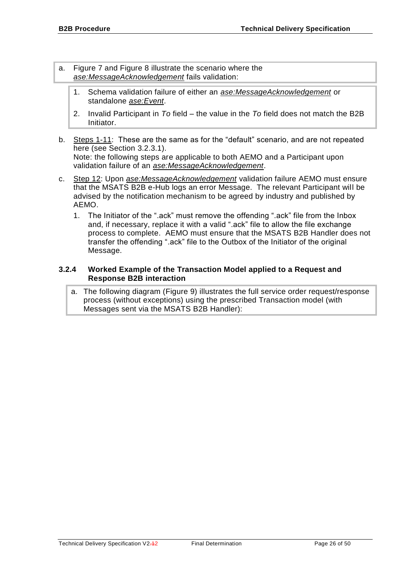- a. [Figure 7](#page-23-0) and [Figure 8](#page-24-0) illustrate the scenario where the *ase:MessageAcknowledgement* fails validation:
	- 1. Schema validation failure of either an *ase:MessageAcknowledgement* or standalone *ase:Event*.
	- 2. Invalid Participant in *To* field the value in the *To* field does not match the B2B Initiator.
- b. Steps 1-11: These are the same as for the "default" scenario, and are not repeated here (see Section [3.2.3.1\)](#page-14-0). Note: the following steps are applicable to both AEMO and a Participant upon validation failure of an *ase:MessageAcknowledgement*.
- c. Step 12: Upon *ase:MessageAcknowledgement* validation failure AEMO must ensure that the MSATS B2B e-Hub logs an error Message. The relevant Participant will be advised by the notification mechanism to be agreed by industry and published by AEMO.
	- 1. The Initiator of the ".ack" must remove the offending ".ack" file from the Inbox and, if necessary, replace it with a valid ".ack" file to allow the file exchange process to complete. AEMO must ensure that the MSATS B2B Handler does not transfer the offending ".ack" file to the Outbox of the Initiator of the original Message.

#### <span id="page-25-0"></span>**3.2.4 Worked Example of the Transaction Model applied to a Request and Response B2B interaction**

a. The following diagram (Figure 9) illustrates the full service order request/response process (without exceptions) using the prescribed Transaction model (with Messages sent via the MSATS B2B Handler):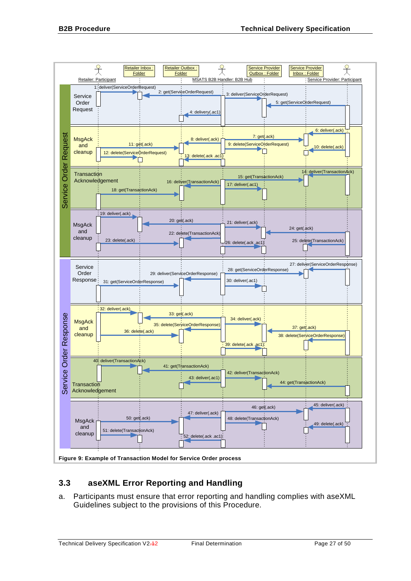

# <span id="page-26-0"></span>**3.3 aseXML Error Reporting and Handling**

a. Participants must ensure that error reporting and handling complies with aseXML Guidelines subject to the provisions of this Procedure.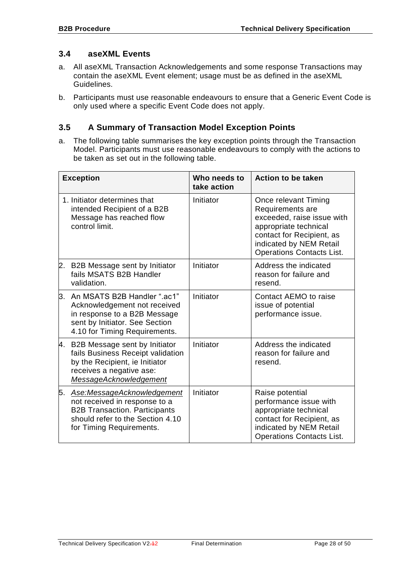## <span id="page-27-0"></span>**3.4 aseXML Events**

- a. All aseXML Transaction Acknowledgements and some response Transactions may contain the aseXML Event element; usage must be as defined in the aseXML Guidelines.
- b. Participants must use reasonable endeavours to ensure that a Generic Event Code is only used where a specific Event Code does not apply.

# <span id="page-27-1"></span>**3.5 A Summary of Transaction Model Exception Points**

a. The following table summarises the key exception points through the Transaction Model. Participants must use reasonable endeavours to comply with the actions to be taken as set out in the following table.

| <b>Exception</b> |                                                                                                                                                                     | Who needs to<br>take action | <b>Action to be taken</b>                                                                                                                                                                   |
|------------------|---------------------------------------------------------------------------------------------------------------------------------------------------------------------|-----------------------------|---------------------------------------------------------------------------------------------------------------------------------------------------------------------------------------------|
|                  | 1. Initiator determines that<br>intended Recipient of a B2B<br>Message has reached flow<br>control limit.                                                           | Initiator                   | Once relevant Timing<br>Requirements are<br>exceeded, raise issue with<br>appropriate technical<br>contact for Recipient, as<br>indicated by NEM Retail<br><b>Operations Contacts List.</b> |
| 2.               | B2B Message sent by Initiator<br>fails MSATS B2B Handler<br>validation.                                                                                             | Initiator                   | Address the indicated<br>reason for failure and<br>resend.                                                                                                                                  |
|                  | 3. An MSATS B2B Handler ".ac1"<br>Acknowledgement not received<br>in response to a B2B Message<br>sent by Initiator. See Section<br>4.10 for Timing Requirements.   | Initiator                   | Contact AEMO to raise<br>issue of potential<br>performance issue.                                                                                                                           |
|                  | 4. B2B Message sent by Initiator<br>fails Business Receipt validation<br>by the Recipient, ie Initiator<br>receives a negative ase:<br>MessageAcknowledgement       | Initiator                   | Address the indicated<br>reason for failure and<br>resend.                                                                                                                                  |
| 5.               | Ase:MessageAcknowledgement<br>not received in response to a<br><b>B2B Transaction. Participants</b><br>should refer to the Section 4.10<br>for Timing Requirements. | Initiator                   | Raise potential<br>performance issue with<br>appropriate technical<br>contact for Recipient, as<br>indicated by NEM Retail<br><b>Operations Contacts List.</b>                              |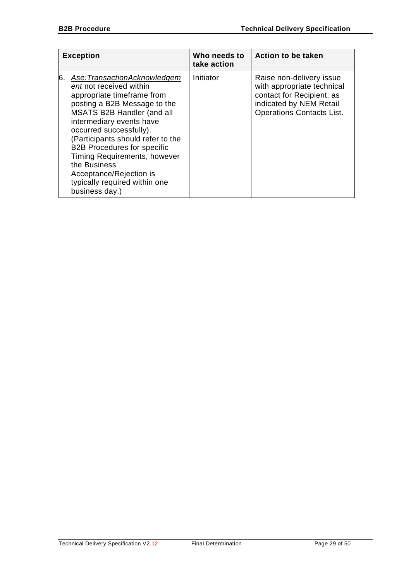| <b>Exception</b> |                                                                                                                                                                                                                                                                                                                                                                                                                           | Who needs to<br>take action | <b>Action to be taken</b>                                                                                                                          |
|------------------|---------------------------------------------------------------------------------------------------------------------------------------------------------------------------------------------------------------------------------------------------------------------------------------------------------------------------------------------------------------------------------------------------------------------------|-----------------------------|----------------------------------------------------------------------------------------------------------------------------------------------------|
| 6.               | Ase:TransactionAcknowledgem<br>ent not received within<br>appropriate timeframe from<br>posting a B2B Message to the<br><b>MSATS B2B Handler (and all</b><br>intermediary events have<br>occurred successfully).<br>(Participants should refer to the<br><b>B2B Procedures for specific</b><br>Timing Requirements, however<br>the Business<br>Acceptance/Rejection is<br>typically required within one<br>business day.) | Initiator                   | Raise non-delivery issue<br>with appropriate technical<br>contact for Recipient, as<br>indicated by NEM Retail<br><b>Operations Contacts List.</b> |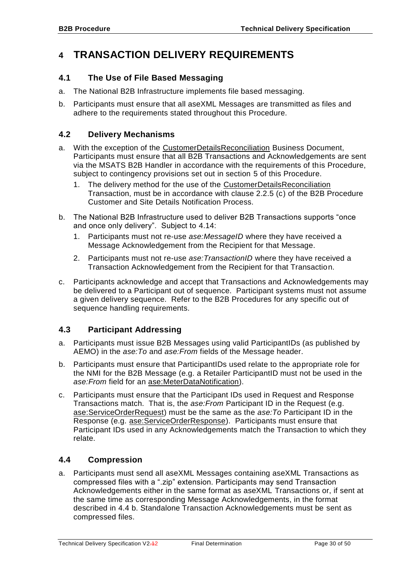# <span id="page-29-0"></span>**4 TRANSACTION DELIVERY REQUIREMENTS**

# <span id="page-29-1"></span>**4.1 The Use of File Based Messaging**

- a. The National B2B Infrastructure implements file based messaging.
- b. Participants must ensure that all aseXML Messages are transmitted as files and adhere to the requirements stated throughout this Procedure.

# <span id="page-29-2"></span>**4.2 Delivery Mechanisms**

- a. With the exception of the CustomerDetailsReconciliation Business Document, Participants must ensure that all B2B Transactions and Acknowledgements are sent via the MSATS B2B Handler in accordance with the requirements of this Procedure, subject to contingency provisions set out in section [5](#page-41-0) of this Procedure.
	- 1. The delivery method for the use of the CustomerDetailsReconciliation Transaction, must be in accordance with clause 2.2.5 (c) of the B2B Procedure Customer and Site Details Notification Process.
- b. The National B2B Infrastructure used to deliver B2B Transactions supports "once and once only delivery". Subject to [4.14:](#page-37-1)
	- 1. Participants must not re-use *ase:MessageID* where they have received a Message Acknowledgement from the Recipient for that Message.
	- 2. Participants must not re-use *ase:TransactionID* where they have received a Transaction Acknowledgement from the Recipient for that Transaction.
- c. Participants acknowledge and accept that Transactions and Acknowledgements may be delivered to a Participant out of sequence. Participant systems must not assume a given delivery sequence. Refer to the B2B Procedures for any specific out of sequence handling requirements.

# <span id="page-29-3"></span>**4.3 Participant Addressing**

- a. Participants must issue B2B Messages using valid ParticipantIDs (as published by AEMO) in the *ase:To* and *ase:From* fields of the Message header.
- b. Participants must ensure that ParticipantIDs used relate to the appropriate role for the NMI for the B2B Message (e.g. a Retailer ParticipantID must not be used in the *ase:From* field for an ase:MeterDataNotification).
- c. Participants must ensure that the Participant IDs used in Request and Response Transactions match. That is, the *ase:From* Participant ID in the Request (e.g. ase:ServiceOrderRequest) must be the same as the *ase:To* Participant ID in the Response (e.g. ase:ServiceOrderResponse). Participants must ensure that Participant IDs used in any Acknowledgements match the Transaction to which they relate.

# <span id="page-29-4"></span>**4.4 Compression**

a. Participants must send all aseXML Messages containing aseXML Transactions as compressed files with a ".zip" extension. Participants may send Transaction Acknowledgements either in the same format as aseXML Transactions or, if sent at the same time as corresponding Message Acknowledgements, in the format described in [4.4](#page-29-4) [b.](#page-30-2) Standalone Transaction Acknowledgements must be sent as compressed files.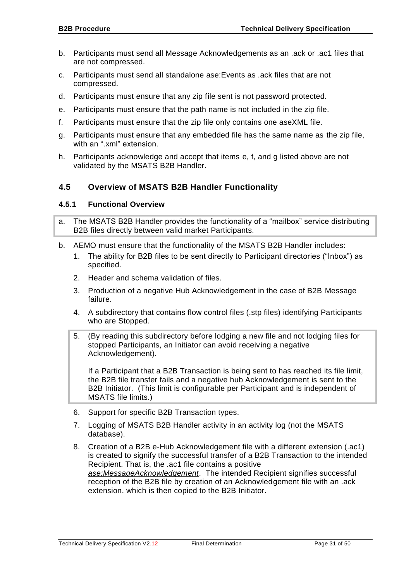- <span id="page-30-2"></span>b. Participants must send all Message Acknowledgements as an .ack or .ac1 files that are not compressed.
- c. Participants must send all standalone ase:Events as .ack files that are not compressed.
- d. Participants must ensure that any zip file sent is not password protected.
- <span id="page-30-3"></span>e. Participants must ensure that the path name is not included in the zip file.
- <span id="page-30-4"></span>f. Participants must ensure that the zip file only contains one aseXML file.
- <span id="page-30-5"></span>g. Participants must ensure that any embedded file has the same name as the zip file, with an ".xml" extension.
- h. Participants acknowledge and accept that items [e,](#page-30-3) [f,](#page-30-4) and [g](#page-30-5) listed above are not validated by the MSATS B2B Handler.

# <span id="page-30-0"></span>**4.5 Overview of MSATS B2B Handler Functionality**

#### <span id="page-30-1"></span>**4.5.1 Functional Overview**

- a. The MSATS B2B Handler provides the functionality of a "mailbox" service distributing B2B files directly between valid market Participants.
- b. AEMO must ensure that the functionality of the MSATS B2B Handler includes:
	- 1. The ability for B2B files to be sent directly to Participant directories ("Inbox") as specified.
	- 2. Header and schema validation of files.
	- 3. Production of a negative Hub Acknowledgement in the case of B2B Message failure.
	- 4. A subdirectory that contains flow control files (.stp files) identifying Participants who are Stopped.
	- 5. (By reading this subdirectory before lodging a new file and not lodging files for stopped Participants, an Initiator can avoid receiving a negative Acknowledgement).

If a Participant that a B2B Transaction is being sent to has reached its file limit, the B2B file transfer fails and a negative hub Acknowledgement is sent to the B2B Initiator. (This limit is configurable per Participant and is independent of MSATS file limits.)

- 6. Support for specific B2B Transaction types.
- 7. Logging of MSATS B2B Handler activity in an activity log (not the MSATS database).
- 8. Creation of a B2B e-Hub Acknowledgement file with a different extension (.ac1) is created to signify the successful transfer of a B2B Transaction to the intended Recipient. That is, the .ac1 file contains a positive *ase:MessageAcknowledgement*. The intended Recipient signifies successful reception of the B2B file by creation of an Acknowledgement file with an .ack extension, which is then copied to the B2B Initiator.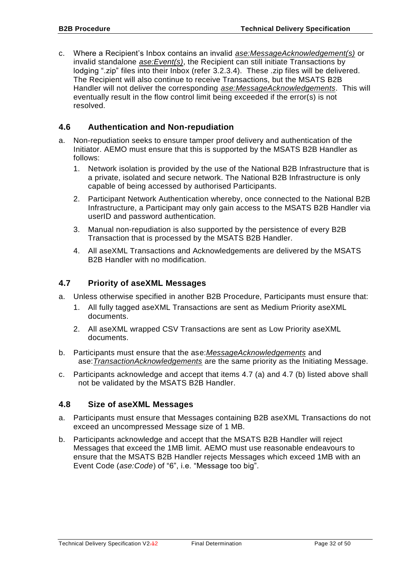c. Where a Recipient's Inbox contains an invalid *ase:MessageAcknowledgement(s)* or invalid standalone *ase:Event(s)*, the Recipient can still initiate Transactions by lodging ".zip" files into their Inbox (refer [3.2.3.4\)](#page-23-1). These .zip files will be delivered. The Recipient will also continue to receive Transactions, but the MSATS B2B Handler will not deliver the corresponding *ase:MessageAcknowledgements*. This will eventually result in the flow control limit being exceeded if the error(s) is not resolved.

# <span id="page-31-0"></span>**4.6 Authentication and Non-repudiation**

- a. Non-repudiation seeks to ensure tamper proof delivery and authentication of the Initiator. AEMO must ensure that this is supported by the MSATS B2B Handler as follows:
	- 1. Network isolation is provided by the use of the National B2B Infrastructure that is a private, isolated and secure network. The National B2B Infrastructure is only capable of being accessed by authorised Participants.
	- 2. Participant Network Authentication whereby, once connected to the National B2B Infrastructure, a Participant may only gain access to the MSATS B2B Handler via userID and password authentication.
	- 3. Manual non-repudiation is also supported by the persistence of every B2B Transaction that is processed by the MSATS B2B Handler.
	- 4. All aseXML Transactions and Acknowledgements are delivered by the MSATS B2B Handler with no modification.

## <span id="page-31-1"></span>**4.7 Priority of aseXML Messages**

- a. Unless otherwise specified in another B2B Procedure, Participants must ensure that:
	- 1. All fully tagged aseXML Transactions are sent as Medium Priority aseXML documents.
	- 2. All aseXML wrapped CSV Transactions are sent as Low Priority aseXML documents.
- b. Participants must ensure that the ase:*MessageAcknowledgements* and ase:*TransactionAcknowledgements* are the same priority as the Initiating Message.
- c. Participants acknowledge and accept that items 4.7 (a) and 4.7 (b) listed above shall not be validated by the MSATS B2B Handler.

#### <span id="page-31-2"></span>**4.8 Size of aseXML Messages**

- a. Participants must ensure that Messages containing B2B aseXML Transactions do not exceed an uncompressed Message size of 1 MB.
- b. Participants acknowledge and accept that the MSATS B2B Handler will reject Messages that exceed the 1MB limit. AEMO must use reasonable endeavours to ensure that the MSATS B2B Handler rejects Messages which exceed 1MB with an Event Code (*ase:Code*) of "6", i.e. "Message too big".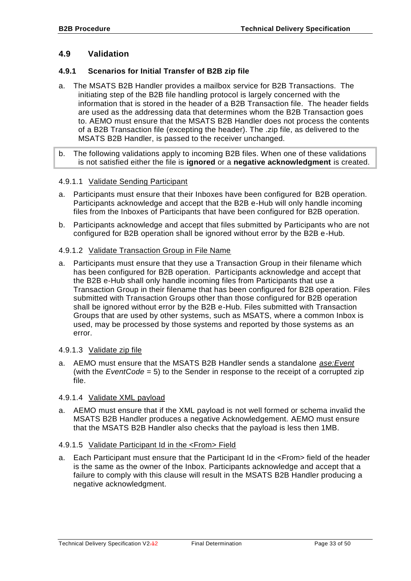## <span id="page-32-0"></span>**4.9 Validation**

#### <span id="page-32-1"></span>**4.9.1 Scenarios for Initial Transfer of B2B zip file**

- a. The MSATS B2B Handler provides a mailbox service for B2B Transactions. The initiating step of the B2B file handling protocol is largely concerned with the information that is stored in the header of a B2B Transaction file. The header fields are used as the addressing data that determines whom the B2B Transaction goes to. AEMO must ensure that the MSATS B2B Handler does not process the contents of a B2B Transaction file (excepting the header). The .zip file, as delivered to the MSATS B2B Handler, is passed to the receiver unchanged.
- b. The following validations apply to incoming B2B files. When one of these validations is not satisfied either the file is **ignored** or a **negative acknowledgment** is created.

#### 4.9.1.1 Validate Sending Participant

- a. Participants must ensure that their Inboxes have been configured for B2B operation. Participants acknowledge and accept that the B2B e-Hub will only handle incoming files from the Inboxes of Participants that have been configured for B2B operation.
- b. Participants acknowledge and accept that files submitted by Participants who are not configured for B2B operation shall be ignored without error by the B2B e-Hub.

#### 4.9.1.2 Validate Transaction Group in File Name

a. Participants must ensure that they use a Transaction Group in their filename which has been configured for B2B operation. Participants acknowledge and accept that the B2B e-Hub shall only handle incoming files from Participants that use a Transaction Group in their filename that has been configured for B2B operation. Files submitted with Transaction Groups other than those configured for B2B operation shall be ignored without error by the B2B e-Hub. Files submitted with Transaction Groups that are used by other systems, such as MSATS, where a common Inbox is used, may be processed by those systems and reported by those systems as an error.

#### 4.9.1.3 Validate zip file

a. AEMO must ensure that the MSATS B2B Handler sends a standalone *ase:Event* (with the *EventCode* = 5) to the Sender in response to the receipt of a corrupted zip file.

#### 4.9.1.4 Validate XML payload

a. AEMO must ensure that if the XML payload is not well formed or schema invalid the MSATS B2B Handler produces a negative Acknowledgement. AEMO must ensure that the MSATS B2B Handler also checks that the payload is less then 1MB.

#### 4.9.1.5 Validate Participant Id in the <From> Field

a. Each Participant must ensure that the Participant Id in the <From> field of the header is the same as the owner of the Inbox. Participants acknowledge and accept that a failure to comply with this clause will result in the MSATS B2B Handler producing a negative acknowledgment.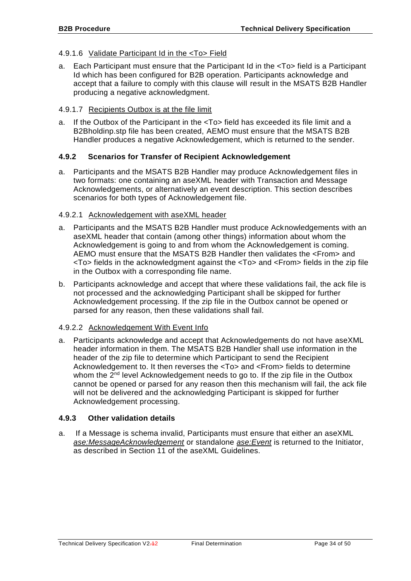#### 4.9.1.6 Validate Participant Id in the <To> Field

a. Each Participant must ensure that the Participant Id in the <To> field is a Participant Id which has been configured for B2B operation. Participants acknowledge and accept that a failure to comply with this clause will result in the MSATS B2B Handler producing a negative acknowledgment.

#### 4.9.1.7 Recipients Outbox is at the file limit

a. If the Outbox of the Participant in the <To> field has exceeded its file limit and a B2Bholdinp.stp file has been created, AEMO must ensure that the MSATS B2B Handler produces a negative Acknowledgement, which is returned to the sender.

#### <span id="page-33-0"></span>**4.9.2 Scenarios for Transfer of Recipient Acknowledgement**

a. Participants and the MSATS B2B Handler may produce Acknowledgement files in two formats: one containing an aseXML header with Transaction and Message Acknowledgements, or alternatively an event description. This section describes scenarios for both types of Acknowledgement file.

#### <span id="page-33-2"></span>4.9.2.1 Acknowledgement with aseXML header

- a. Participants and the MSATS B2B Handler must produce Acknowledgements with an aseXML header that contain (among other things) information about whom the Acknowledgement is going to and from whom the Acknowledgement is coming. AEMO must ensure that the MSATS B2B Handler then validates the <From> and <To> fields in the acknowledgment against the <To> and <From> fields in the zip file in the Outbox with a corresponding file name.
- b. Participants acknowledge and accept that where these validations fail, the ack file is not processed and the acknowledging Participant shall be skipped for further Acknowledgement processing. If the zip file in the Outbox cannot be opened or parsed for any reason, then these validations shall fail.

#### 4.9.2.2 Acknowledgement With Event Info

a. Participants acknowledge and accept that Acknowledgements do not have aseXML header information in them. The MSATS B2B Handler shall use information in the header of the zip file to determine which Participant to send the Recipient Acknowledgement to. It then reverses the <To> and <From> fields to determine whom the 2<sup>nd</sup> level Acknowledgement needs to go to. If the zip file in the Outbox cannot be opened or parsed for any reason then this mechanism will fail, the ack file will not be delivered and the acknowledging Participant is skipped for further Acknowledgement processing.

#### <span id="page-33-1"></span>**4.9.3 Other validation details**

a. If a Message is schema invalid, Participants must ensure that either an aseXML *ase:MessageAcknowledgement* or standalone *ase:Event* is returned to the Initiator, as described in Section 11 of the aseXML Guidelines.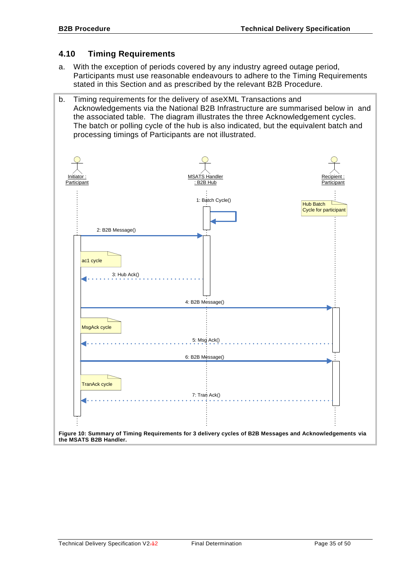# <span id="page-34-0"></span>**4.10 Timing Requirements**

- a. With the exception of periods covered by any industry agreed outage period, Participants must use reasonable endeavours to adhere to the Timing Requirements stated in this Section and as prescribed by the relevant B2B Procedure.
- b. Timing requirements for the delivery of aseXML Transactions and Acknowledgements via the National B2B Infrastructure are summarised below in and the associated table. The diagram illustrates the three Acknowledgement cycles. The batch or polling cycle of the hub is also indicated, but the equivalent batch and processing timings of Participants are not illustrated.

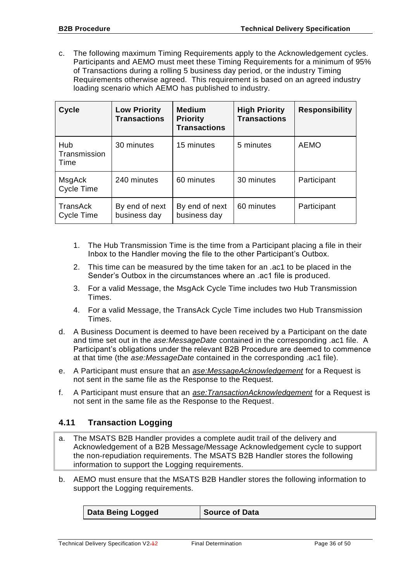c. The following maximum Timing Requirements apply to the Acknowledgement cycles. Participants and AEMO must meet these Timing Requirements for a minimum of 95% of Transactions during a rolling 5 business day period, or the industry Timing Requirements otherwise agreed. This requirement is based on an agreed industry loading scenario which AEMO has published to industry.

| <b>Cycle</b>                | <b>Low Priority</b><br><b>Transactions</b> | <b>Medium</b><br><b>Priority</b><br><b>Transactions</b> | <b>High Priority</b><br><b>Transactions</b> | <b>Responsibility</b> |
|-----------------------------|--------------------------------------------|---------------------------------------------------------|---------------------------------------------|-----------------------|
| Hub<br>Transmission<br>Time | 30 minutes                                 | 15 minutes                                              | 5 minutes                                   | <b>AEMO</b>           |
| MsgAck<br>Cycle Time        | 240 minutes                                | 60 minutes                                              | 30 minutes                                  | Participant           |
| TransAck<br>Cycle Time      | By end of next<br>business day             | By end of next<br>business day                          | 60 minutes                                  | Participant           |

- 1. The Hub Transmission Time is the time from a Participant placing a file in their Inbox to the Handler moving the file to the other Participant's Outbox.
- 2. This time can be measured by the time taken for an .ac1 to be placed in the Sender's Outbox in the circumstances where an .ac1 file is produced.
- 3. For a valid Message, the MsgAck Cycle Time includes two Hub Transmission Times.
- 4. For a valid Message, the TransAck Cycle Time includes two Hub Transmission Times.
- d. A Business Document is deemed to have been received by a Participant on the date and time set out in the *ase:MessageDate* contained in the corresponding .ac1 file. A Participant's obligations under the relevant B2B Procedure are deemed to commence at that time (the *ase:MessageDate* contained in the corresponding .ac1 file).
- e. A Participant must ensure that an *ase:MessageAcknowledgement* for a Request is not sent in the same file as the Response to the Request.
- f. A Participant must ensure that an *ase:TransactionAcknowledgement* for a Request is not sent in the same file as the Response to the Request.

# <span id="page-35-0"></span>**4.11 Transaction Logging**

- a. The MSATS B2B Handler provides a complete audit trail of the delivery and Acknowledgement of a B2B Message/Message Acknowledgement cycle to support the non-repudiation requirements. The MSATS B2B Handler stores the following information to support the Logging requirements.
- b. AEMO must ensure that the MSATS B2B Handler stores the following information to support the Logging requirements.

| <b>Data Being Logged</b> | <b>Source of Data</b> |
|--------------------------|-----------------------|
|--------------------------|-----------------------|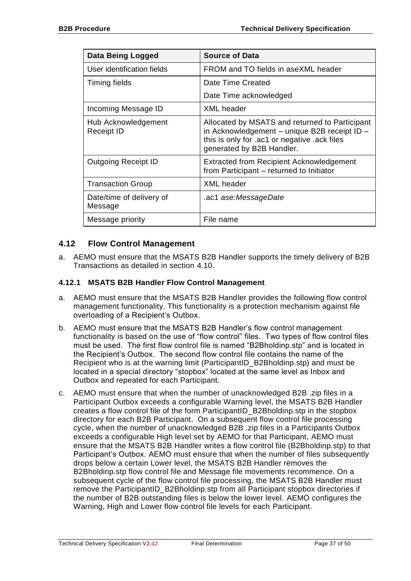| Data Being Logged                   | <b>Source of Data</b>                                                                                                                                                       |  |
|-------------------------------------|-----------------------------------------------------------------------------------------------------------------------------------------------------------------------------|--|
| User identification fields          | FROM and TO fields in aseXML header                                                                                                                                         |  |
| Timing fields                       | Date Time Created                                                                                                                                                           |  |
|                                     | Date Time acknowledged                                                                                                                                                      |  |
| Incoming Message ID                 | <b>XML</b> header                                                                                                                                                           |  |
| Hub Acknowledgement<br>Receipt ID   | Allocated by MSATS and returned to Participant<br>in Acknowledgement - unique B2B receipt ID -<br>this is only for .ac1 or negative .ack files<br>generated by B2B Handler. |  |
| <b>Outgoing Receipt ID</b>          | <b>Extracted from Recipient Acknowledgement</b><br>from Participant – returned to Initiator                                                                                 |  |
| <b>Transaction Group</b>            | <b>XML</b> header                                                                                                                                                           |  |
| Date/time of delivery of<br>Message | .ac1 ase:MessageDate                                                                                                                                                        |  |
| Message priority                    | File name                                                                                                                                                                   |  |

# <span id="page-36-0"></span>**4.12 Flow Control Management**

a. AEMO must ensure that the MSATS B2B Handler supports the timely delivery of B2B Transactions as detailed in section [4.10.](#page-34-0)

## <span id="page-36-1"></span>**4.12.1 MSATS B2B Handler Flow Control Management**

- a. AEMO must ensure that the MSATS B2B Handler provides the following flow control management functionality. This functionality is a protection mechanism against file overloading of a Recipient's Outbox.
- b. AEMO must ensure that the MSATS B2B Handler's flow control management functionality is based on the use of "flow control" files. Two types of flow control files must be used. The first flow control file is named "B2Bholdinp.stp" and is located in the Recipient's Outbox. The second flow control file contains the name of the Recipient who is at the warning limit (ParticipantID\_B2Bholdinp.stp) and must be located in a special directory "stopbox" located at the same level as Inbox and Outbox and repeated for each Participant.
- c. AEMO must ensure that when the number of unacknowledged B2B .zip files in a Participant Outbox exceeds a configurable Warning level, the MSATS B2B Handler creates a flow control file of the form ParticipantID\_B2Bholdinp.stp in the stopbox directory for each B2B Participant. On a subsequent flow control file processing cycle, when the number of unacknowledged B2B .zip files in a Participants Outbox exceeds a configurable High level set by AEMO for that Participant, AEMO must ensure that the MSATS B2B Handler writes a flow control file (B2Bholdinp.stp) to that Participant's Outbox. AEMO must ensure that when the number of files subsequently drops below a certain Lower level, the MSATS B2B Handler removes the B2Bholdinp.stp flow control file and Message file movements recommence. On a subsequent cycle of the flow control file processing, the MSATS B2B Handler must remove the ParticipantID\_B2Bholdinp.stp from all Participant stopbox directories if the number of B2B outstanding files is below the lower level. AEMO configures the Warning, High and Lower flow control file levels for each Participant.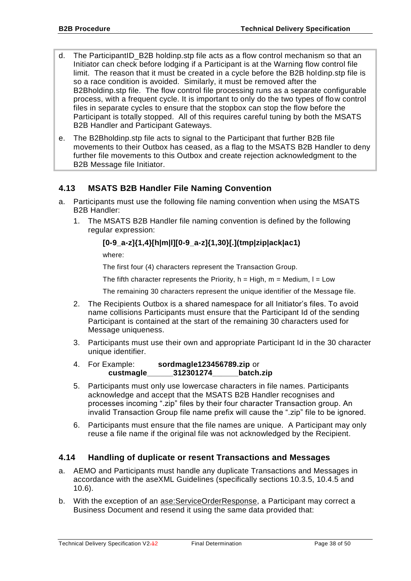- d. The ParticipantID B2B holdinp.stp file acts as a flow control mechanism so that an Initiator can check before lodging if a Participant is at the Warning flow control file limit. The reason that it must be created in a cycle before the B2B holdinp.stp file is so a race condition is avoided. Similarly, it must be removed after the B2Bholdinp.stp file. The flow control file processing runs as a separate configurable process, with a frequent cycle. It is important to only do the two types of flow control files in separate cycles to ensure that the stopbox can stop the flow before the Participant is totally stopped. All of this requires careful tuning by both the MSATS B2B Handler and Participant Gateways.
- e. The B2Bholdinp.stp file acts to signal to the Participant that further B2B file movements to their Outbox has ceased, as a flag to the MSATS B2B Handler to deny further file movements to this Outbox and create rejection acknowledgment to the B2B Message file Initiator.

# <span id="page-37-0"></span>**4.13 MSATS B2B Handler File Naming Convention**

- <span id="page-37-3"></span><span id="page-37-2"></span>a. Participants must use the following file naming convention when using the MSATS B2B Handler:
	- 1. The MSATS B2B Handler file naming convention is defined by the following regular expression:

## **[0-9\_a-z]{1,4}[h|m|l][0-9\_a-z]{1,30}[.](tmp|zip|ack|ac1)**

where:

The first four (4) characters represent the Transaction Group.

The fifth character represents the Priority,  $h = High$ ,  $m = Medium$ ,  $l = Low$ 

The remaining 30 characters represent the unique identifier of the Message file.

- 2. The Recipients Outbox is a shared namespace for all Initiator's files. To avoid name collisions Participants must ensure that the Participant Id of the sending Participant is contained at the start of the remaining 30 characters used for Message uniqueness.
- 3. Participants must use their own and appropriate Participant Id in the 30 character unique identifier.
- 4. For Example: **sordmagle123456789.zip** or **custmagle\_\_\_\_\_\_312301274\_\_\_\_\_\_batch.zip**
- 5. Participants must only use lowercase characters in file names. Participants acknowledge and accept that the MSATS B2B Handler recognises and processes incoming ".zip" files by their four character Transaction group. An invalid Transaction Group file name prefix will cause the ".zip" file to be ignored.
- 6. Participants must ensure that the file names are unique. A Participant may only reuse a file name if the original file was not acknowledged by the Recipient.

# <span id="page-37-1"></span>**4.14 Handling of duplicate or resent Transactions and Messages**

- a. AEMO and Participants must handle any duplicate Transactions and Messages in accordance with the aseXML Guidelines (specifically sections 10.3.5, 10.4.5 and 10.6).
- b. With the exception of an ase:ServiceOrderResponse, a Participant may correct a Business Document and resend it using the same data provided that: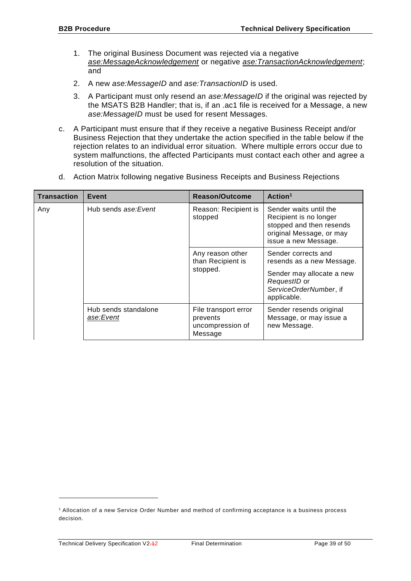- 1. The original Business Document was rejected via a negative *ase:MessageAcknowledgement* or negative *ase:TransactionAcknowledgement*; and
- 2. A new *ase:MessageID* and *ase:TransactionID* is used.
- 3. A Participant must only resend an *ase:MessageID* if the original was rejected by the MSATS B2B Handler; that is, if an .ac1 file is received for a Message, a new *ase:MessageID* must be used for resent Messages.
- c. A Participant must ensure that if they receive a negative Business Receipt and/or Business Rejection that they undertake the action specified in the table below if the rejection relates to an individual error situation. Where multiple errors occur due to system malfunctions, the affected Participants must contact each other and agree a resolution of the situation.
- d. Action Matrix following negative Business Receipts and Business Rejections

| <b>Transaction</b> | Event                             | Reason/Outcome                                                  | Action <sup>1</sup>                                                                                                                    |
|--------------------|-----------------------------------|-----------------------------------------------------------------|----------------------------------------------------------------------------------------------------------------------------------------|
| Any                | Hub sends ase: Event              | Reason: Recipient is<br>stopped                                 | Sender waits until the<br>Recipient is no longer<br>stopped and then resends<br>original Message, or may<br>issue a new Message.       |
|                    |                                   | Any reason other<br>than Recipient is<br>stopped.               | Sender corrects and<br>resends as a new Message.<br>Sender may allocate a new<br>RequestID or<br>ServiceOrderNumber, if<br>applicable. |
|                    | Hub sends standalone<br>ase:Event | File transport error<br>prevents<br>uncompression of<br>Message | Sender resends original<br>Message, or may issue a<br>new Message.                                                                     |

1

<sup>1</sup> Allocation of a new Service Order Number and method of confirming acceptance is a business process decision.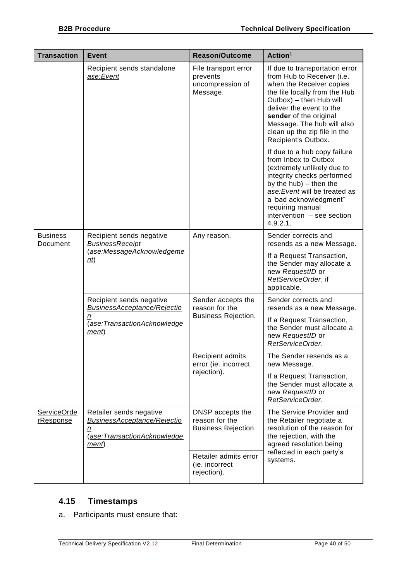| <b>Transaction</b>          | <b>Event</b>                                                                                                | <b>Reason/Outcome</b>                                              | Action <sup>1</sup>                                                                                                                                                                                                                                                                             |
|-----------------------------|-------------------------------------------------------------------------------------------------------------|--------------------------------------------------------------------|-------------------------------------------------------------------------------------------------------------------------------------------------------------------------------------------------------------------------------------------------------------------------------------------------|
|                             | Recipient sends standalone<br>ase:Event                                                                     | File transport error<br>prevents<br>uncompression of<br>Message.   | If due to transportation error<br>from Hub to Receiver (i.e.<br>when the Receiver copies<br>the file locally from the Hub<br>Outbox) - then Hub will<br>deliver the event to the<br>sender of the original<br>Message. The hub will also<br>clean up the zip file in the<br>Recipient's Outbox. |
|                             |                                                                                                             |                                                                    | If due to a hub copy failure<br>from Inbox to Outbox<br>(extremely unlikely due to<br>integrity checks performed<br>by the hub) - then the<br>ase: Event will be treated as<br>a 'bad acknowledgment"<br>requiring manual<br>intervention - see section<br>4.9.2.1.                             |
| <b>Business</b><br>Document | Recipient sends negative<br><b>BusinessReceipt</b><br>(ase:MessageAcknowledgeme<br>n(t)                     | Any reason.                                                        | Sender corrects and<br>resends as a new Message.                                                                                                                                                                                                                                                |
|                             |                                                                                                             |                                                                    | If a Request Transaction,<br>the Sender may allocate a<br>new RequestID or<br>RetServiceOrder, if<br>applicable.                                                                                                                                                                                |
|                             | Recipient sends negative<br><b>BusinessAcceptance/Rejectio</b><br>n<br>(ase:TransactionAcknowledge<br>ment) | Sender accepts the<br>reason for the<br><b>Business Rejection.</b> | Sender corrects and<br>resends as a new Message.                                                                                                                                                                                                                                                |
|                             |                                                                                                             |                                                                    | If a Request Transaction,<br>the Sender must allocate a<br>new RequestID or<br>RetServiceOrder.                                                                                                                                                                                                 |
|                             |                                                                                                             | Recipient admits<br>error (ie. incorrect<br>rejection).            | The Sender resends as a<br>new Message.                                                                                                                                                                                                                                                         |
|                             |                                                                                                             |                                                                    | If a Request Transaction,<br>the Sender must allocate a<br>new RequestID or<br>RetServiceOrder.                                                                                                                                                                                                 |
| ServiceOrde<br>rResponse    | Retailer sends negative<br><b>BusinessAcceptance/Rejectio</b><br>n<br>(ase:TransactionAcknowledge<br>ment)  | DNSP accepts the<br>reason for the<br><b>Business Rejection</b>    | The Service Provider and<br>the Retailer negotiate a<br>resolution of the reason for<br>the rejection, with the<br>agreed resolution being<br>reflected in each party's<br>systems.                                                                                                             |
|                             |                                                                                                             | Retailer admits error<br>(ie. incorrect<br>rejection).             |                                                                                                                                                                                                                                                                                                 |

# <span id="page-39-0"></span>**4.15 Timestamps**

a. Participants must ensure that: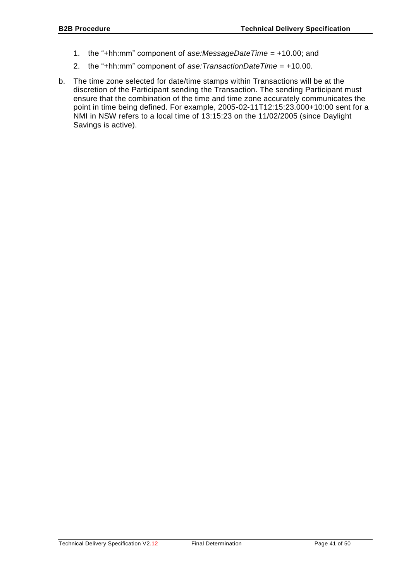- 1. the "+hh:mm" component of *ase:MessageDateTime* = +10.00; and
- 2. the "+hh:mm" component of *ase:TransactionDateTime* = +10.00.
- b. The time zone selected for date/time stamps within Transactions will be at the discretion of the Participant sending the Transaction. The sending Participant must ensure that the combination of the time and time zone accurately communicates the point in time being defined. For example, 2005-02-11T12:15:23.000+10:00 sent for a NMI in NSW refers to a local time of 13:15:23 on the 11/02/2005 (since Daylight Savings is active).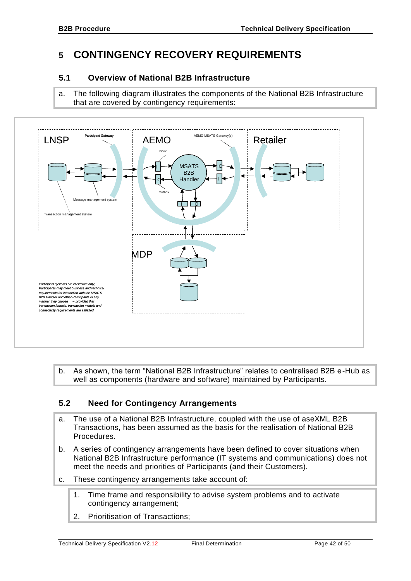# <span id="page-41-0"></span>**5 CONTINGENCY RECOVERY REQUIREMENTS**

# <span id="page-41-1"></span>**5.1 Overview of National B2B Infrastructure**

a. The following diagram illustrates the components of the National B2B Infrastructure that are covered by contingency requirements:



b. As shown, the term "National B2B Infrastructure" relates to centralised B2B e-Hub as well as components (hardware and software) maintained by Participants.

# <span id="page-41-2"></span>**5.2 Need for Contingency Arrangements**

- a. The use of a National B2B Infrastructure, coupled with the use of aseXML B2B Transactions, has been assumed as the basis for the realisation of National B2B Procedures.
- b. A series of contingency arrangements have been defined to cover situations when National B2B Infrastructure performance (IT systems and communications) does not meet the needs and priorities of Participants (and their Customers).
- c. These contingency arrangements take account of:
	- 1. Time frame and responsibility to advise system problems and to activate contingency arrangement;
	- 2. Prioritisation of Transactions;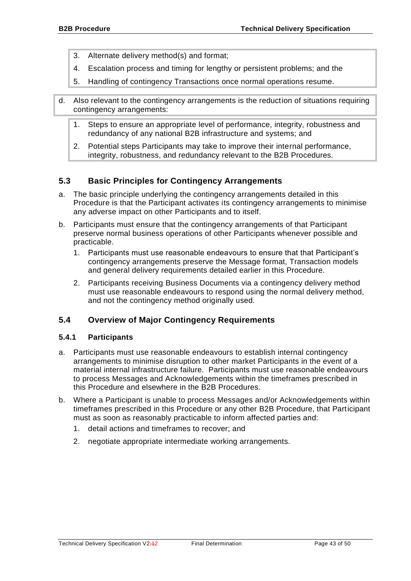- 3. Alternate delivery method(s) and format;
- 4. Escalation process and timing for lengthy or persistent problems; and the
- 5. Handling of contingency Transactions once normal operations resume.
- d. Also relevant to the contingency arrangements is the reduction of situations requiring contingency arrangements:
	- 1. Steps to ensure an appropriate level of performance, integrity, robustness and redundancy of any national B2B infrastructure and systems; and
	- 2. Potential steps Participants may take to improve their internal performance, integrity, robustness, and redundancy relevant to the B2B Procedures.

# <span id="page-42-0"></span>**5.3 Basic Principles for Contingency Arrangements**

- a. The basic principle underlying the contingency arrangements detailed in this Procedure is that the Participant activates its contingency arrangements to minimise any adverse impact on other Participants and to itself.
- b. Participants must ensure that the contingency arrangements of that Participant preserve normal business operations of other Participants whenever possible and practicable.
	- 1. Participants must use reasonable endeavours to ensure that that Participant's contingency arrangements preserve the Message format, Transaction models and general delivery requirements detailed earlier in this Procedure.
	- 2. Participants receiving Business Documents via a contingency delivery method must use reasonable endeavours to respond using the normal delivery method, and not the contingency method originally used.

# <span id="page-42-1"></span>**5.4 Overview of Major Contingency Requirements**

#### <span id="page-42-2"></span>**5.4.1 Participants**

- a. Participants must use reasonable endeavours to establish internal contingency arrangements to minimise disruption to other market Participants in the event of a material internal infrastructure failure. Participants must use reasonable endeavours to process Messages and Acknowledgements within the timeframes prescribed in this Procedure and elsewhere in the B2B Procedures.
- b. Where a Participant is unable to process Messages and/or Acknowledgements within timeframes prescribed in this Procedure or any other B2B Procedure, that Participant must as soon as reasonably practicable to inform affected parties and:
	- 1. detail actions and timeframes to recover; and
	- 2. negotiate appropriate intermediate working arrangements.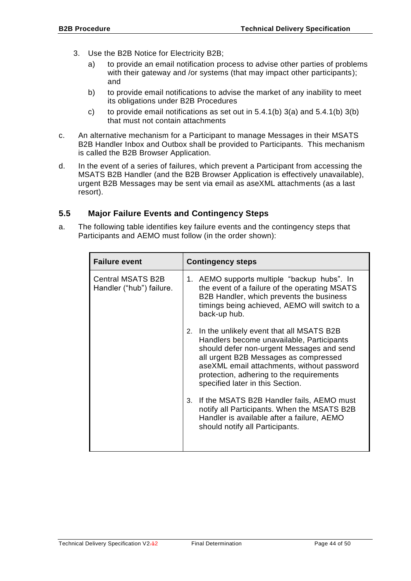- 3. Use the B2B Notice for Electricity B2B;
	- a) to provide an email notification process to advise other parties of problems with their gateway and /or systems (that may impact other participants); and
	- b) to provide email notifications to advise the market of any inability to meet its obligations under B2B Procedures
	- c) to provide email notifications as set out in  $5.4.1(b)$  3(a) and  $5.4.1(b)$  3(b) that must not contain attachments
- c. An alternative mechanism for a Participant to manage Messages in their MSATS B2B Handler Inbox and Outbox shall be provided to Participants. This mechanism is called the B2B Browser Application.
- d. In the event of a series of failures, which prevent a Participant from accessing the MSATS B2B Handler (and the B2B Browser Application is effectively unavailable), urgent B2B Messages may be sent via email as aseXML attachments (as a last resort).

# <span id="page-43-0"></span>**5.5 Major Failure Events and Contingency Steps**

a. The following table identifies key failure events and the contingency steps that Participants and AEMO must follow (in the order shown):

| <b>Failure event</b>                                 | <b>Contingency steps</b>                                                                                                                                                                                                                                                                                        |  |
|------------------------------------------------------|-----------------------------------------------------------------------------------------------------------------------------------------------------------------------------------------------------------------------------------------------------------------------------------------------------------------|--|
| <b>Central MSATS B2B</b><br>Handler ("hub") failure. | 1. AEMO supports multiple "backup hubs". In<br>the event of a failure of the operating MSATS<br>B2B Handler, which prevents the business<br>timings being achieved, AEMO will switch to a<br>back-up hub.                                                                                                       |  |
|                                                      | In the unlikely event that all MSATS B2B<br>2.<br>Handlers become unavailable, Participants<br>should defer non-urgent Messages and send<br>all urgent B2B Messages as compressed<br>aseXML email attachments, without password<br>protection, adhering to the requirements<br>specified later in this Section. |  |
|                                                      | 3. If the MSATS B2B Handler fails, AEMO must<br>notify all Participants. When the MSATS B2B<br>Handler is available after a failure, AEMO<br>should notify all Participants.                                                                                                                                    |  |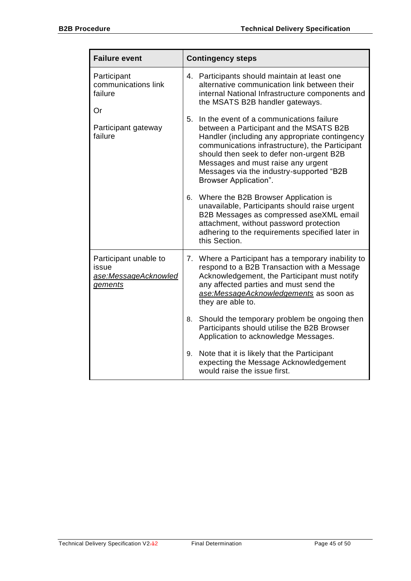| <b>Failure event</b>                                                     | <b>Contingency steps</b>                                                                                                                                                                                                                                                                                                                              |  |
|--------------------------------------------------------------------------|-------------------------------------------------------------------------------------------------------------------------------------------------------------------------------------------------------------------------------------------------------------------------------------------------------------------------------------------------------|--|
| Participant<br>communications link<br>failure<br>Or                      | 4. Participants should maintain at least one<br>alternative communication link between their<br>internal National Infrastructure components and<br>the MSATS B2B handler gateways.                                                                                                                                                                    |  |
| Participant gateway<br>failure                                           | In the event of a communications failure<br>5.<br>between a Participant and the MSATS B2B<br>Handler (including any appropriate contingency<br>communications infrastructure), the Participant<br>should then seek to defer non-urgent B2B<br>Messages and must raise any urgent<br>Messages via the industry-supported "B2B<br>Browser Application". |  |
|                                                                          | Where the B2B Browser Application is<br>6.<br>unavailable, Participants should raise urgent<br>B2B Messages as compressed aseXML email<br>attachment, without password protection<br>adhering to the requirements specified later in<br>this Section.                                                                                                 |  |
| Participant unable to<br>issue<br>ase:MessageAcknowled<br><i>gements</i> | 7. Where a Participant has a temporary inability to<br>respond to a B2B Transaction with a Message<br>Acknowledgement, the Participant must notify<br>any affected parties and must send the<br>ase:MessageAcknowledgements as soon as<br>they are able to.                                                                                           |  |
|                                                                          | Should the temporary problem be ongoing then<br>8.<br>Participants should utilise the B2B Browser<br>Application to acknowledge Messages.                                                                                                                                                                                                             |  |
|                                                                          | Note that it is likely that the Participant<br>9.<br>expecting the Message Acknowledgement<br>would raise the issue first.                                                                                                                                                                                                                            |  |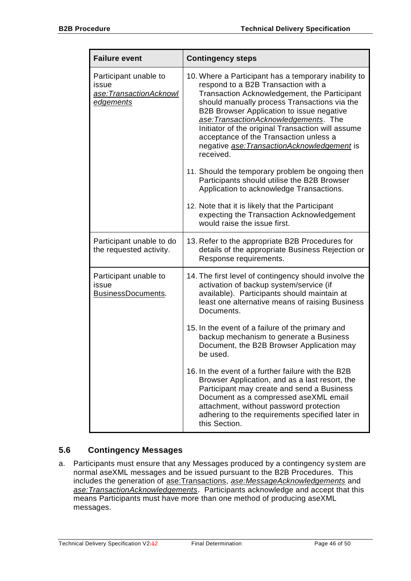| <b>Failure event</b>                                                         | <b>Contingency steps</b>                                                                                                                                                                                                                                                                                                                                                                                                                                                                                                                                                                                                                         |  |
|------------------------------------------------------------------------------|--------------------------------------------------------------------------------------------------------------------------------------------------------------------------------------------------------------------------------------------------------------------------------------------------------------------------------------------------------------------------------------------------------------------------------------------------------------------------------------------------------------------------------------------------------------------------------------------------------------------------------------------------|--|
| Participant unable to<br>issue<br>ase:TransactionAcknowl<br><u>edgements</u> | 10. Where a Participant has a temporary inability to<br>respond to a B2B Transaction with a<br>Transaction Acknowledgement, the Participant<br>should manually process Transactions via the<br>B2B Browser Application to issue negative<br>ase: Transaction Acknowledgements. The<br>Initiator of the original Transaction will assume<br>acceptance of the Transaction unless a<br>negative ase: Transaction Acknowledgement is<br>received.<br>11. Should the temporary problem be ongoing then<br>Participants should utilise the B2B Browser<br>Application to acknowledge Transactions.<br>12. Note that it is likely that the Participant |  |
|                                                                              | expecting the Transaction Acknowledgement<br>would raise the issue first.                                                                                                                                                                                                                                                                                                                                                                                                                                                                                                                                                                        |  |
| Participant unable to do<br>the requested activity.                          | 13. Refer to the appropriate B2B Procedures for<br>details of the appropriate Business Rejection or<br>Response requirements.                                                                                                                                                                                                                                                                                                                                                                                                                                                                                                                    |  |
| Participant unable to<br>issue<br>BusinessDocuments.                         | 14. The first level of contingency should involve the<br>activation of backup system/service (if<br>available). Participants should maintain at<br>least one alternative means of raising Business<br>Documents.                                                                                                                                                                                                                                                                                                                                                                                                                                 |  |
|                                                                              | 15. In the event of a failure of the primary and<br>backup mechanism to generate a Business<br>Document, the B2B Browser Application may<br>be used.                                                                                                                                                                                                                                                                                                                                                                                                                                                                                             |  |
|                                                                              | 16. In the event of a further failure with the B2B<br>Browser Application, and as a last resort, the<br>Participant may create and send a Business<br>Document as a compressed aseXML email<br>attachment, without password protection<br>adhering to the requirements specified later in<br>this Section.                                                                                                                                                                                                                                                                                                                                       |  |

# <span id="page-45-0"></span>**5.6 Contingency Messages**

a. Participants must ensure that any Messages produced by a contingency system are normal aseXML messages and be issued pursuant to the B2B Procedures. This includes the generation of ase:Transactions, *ase:MessageAcknowledgements* and *ase:TransactionAcknowledgements*. Participants acknowledge and accept that this means Participants must have more than one method of producing aseXML messages.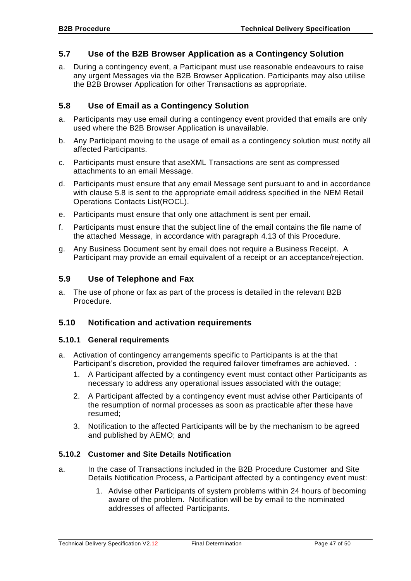# <span id="page-46-0"></span>**5.7 Use of the B2B Browser Application as a Contingency Solution**

a. During a contingency event, a Participant must use reasonable endeavours to raise any urgent Messages via the B2B Browser Application. Participants may also utilise the B2B Browser Application for other Transactions as appropriate.

# <span id="page-46-1"></span>**5.8 Use of Email as a Contingency Solution**

- a. Participants may use email during a contingency event provided that emails are only used where the B2B Browser Application is unavailable.
- b. Any Participant moving to the usage of email as a contingency solution must notify all affected Participants.
- c. Participants must ensure that aseXML Transactions are sent as compressed attachments to an email Message.
- d. Participants must ensure that any email Message sent pursuant to and in accordance with clause [5.8](#page-46-1) is sent to the appropriate email address specified in the NEM Retail Operations Contacts List(ROCL).
- e. Participants must ensure that only one attachment is sent per email.
- f. Participants must ensure that the subject line of the email contains the file name of the attached Message, in accordance with paragraph [4.13](#page-37-0) of this Procedure.
- g. Any Business Document sent by email does not require a Business Receipt. A Participant may provide an email equivalent of a receipt or an acceptance/rejection.

## <span id="page-46-2"></span>**5.9 Use of Telephone and Fax**

a. The use of phone or fax as part of the process is detailed in the relevant B2B Procedure.

## <span id="page-46-3"></span>**5.10 Notification and activation requirements**

#### <span id="page-46-4"></span>**5.10.1 General requirements**

- a. Activation of contingency arrangements specific to Participants is at the that Participant's discretion, provided the required failover timeframes are achieved. :
	- 1. A Participant affected by a contingency event must contact other Participants as necessary to address any operational issues associated with the outage;
	- 2. A Participant affected by a contingency event must advise other Participants of the resumption of normal processes as soon as practicable after these have resumed;
	- 3. Notification to the affected Participants will be by the mechanism to be agreed and published by AEMO; and

## <span id="page-46-5"></span>**5.10.2 Customer and Site Details Notification**

- a. In the case of Transactions included in the B2B Procedure Customer and Site Details Notification Process, a Participant affected by a contingency event must:
	- 1. Advise other Participants of system problems within 24 hours of becoming aware of the problem. Notification will be by email to the nominated addresses of affected Participants.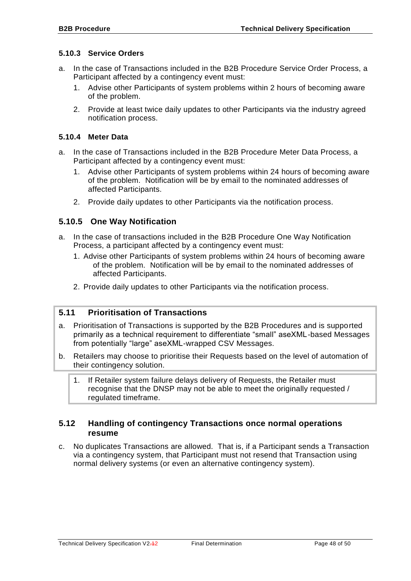#### <span id="page-47-0"></span>**5.10.3 Service Orders**

- a. In the case of Transactions included in the B2B Procedure Service Order Process, a Participant affected by a contingency event must:
	- 1. Advise other Participants of system problems within 2 hours of becoming aware of the problem.
	- 2. Provide at least twice daily updates to other Participants via the industry agreed notification process.

#### <span id="page-47-1"></span>**5.10.4 Meter Data**

- a. In the case of Transactions included in the B2B Procedure Meter Data Process, a Participant affected by a contingency event must:
	- 1. Advise other Participants of system problems within 24 hours of becoming aware of the problem. Notification will be by email to the nominated addresses of affected Participants.
	- 2. Provide daily updates to other Participants via the notification process.

# <span id="page-47-2"></span>**5.10.5 One Way Notification**

- a. In the case of transactions included in the B2B Procedure One Way Notification Process, a participant affected by a contingency event must:
	- 1. Advise other Participants of system problems within 24 hours of becoming aware of the problem. Notification will be by email to the nominated addresses of affected Participants.
	- 2. Provide daily updates to other Participants via the notification process.

# <span id="page-47-3"></span>**5.11 Prioritisation of Transactions**

- a. Prioritisation of Transactions is supported by the B2B Procedures and is supported primarily as a technical requirement to differentiate "small" aseXML-based Messages from potentially "large" aseXML-wrapped CSV Messages.
- b. Retailers may choose to prioritise their Requests based on the level of automation of their contingency solution.
	- 1. If Retailer system failure delays delivery of Requests, the Retailer must recognise that the DNSP may not be able to meet the originally requested / regulated timeframe.

## <span id="page-47-4"></span>**5.12 Handling of contingency Transactions once normal operations resume**

c. No duplicates Transactions are allowed. That is, if a Participant sends a Transaction via a contingency system, that Participant must not resend that Transaction using normal delivery systems (or even an alternative contingency system).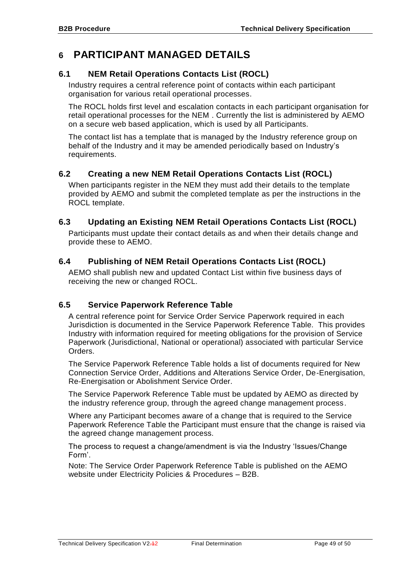# <span id="page-48-0"></span>**6 PARTICIPANT MANAGED DETAILS**

# <span id="page-48-1"></span>**6.1 NEM Retail Operations Contacts List (ROCL)**

Industry requires a central reference point of contacts within each participant organisation for various retail operational processes.

The ROCL holds first level and escalation contacts in each participant organisation for retail operational processes for the NEM . Currently the list is administered by AEMO on a secure web based application, which is used by all Participants.

The contact list has a template that is managed by the Industry reference group on behalf of the Industry and it may be amended periodically based on Industry's requirements.

# <span id="page-48-2"></span>**6.2 Creating a new NEM Retail Operations Contacts List (ROCL)**

When participants register in the NEM they must add their details to the template provided by AEMO and submit the completed template as per the instructions in the ROCL template.

# <span id="page-48-3"></span>**6.3 Updating an Existing NEM Retail Operations Contacts List (ROCL)**

Participants must update their contact details as and when their details change and provide these to AEMO.

# <span id="page-48-4"></span>**6.4 Publishing of NEM Retail Operations Contacts List (ROCL)**

AEMO shall publish new and updated Contact List within five business days of receiving the new or changed ROCL.

# <span id="page-48-5"></span>**6.5 Service Paperwork Reference Table**

A central reference point for Service Order Service Paperwork required in each Jurisdiction is documented in the Service Paperwork Reference Table. This provides Industry with information required for meeting obligations for the provision of Service Paperwork (Jurisdictional, National or operational) associated with particular Service Orders.

The Service Paperwork Reference Table holds a list of documents required for New Connection Service Order, Additions and Alterations Service Order, De-Energisation, Re-Energisation or Abolishment Service Order.

The Service Paperwork Reference Table must be updated by AEMO as directed by the industry reference group, through the agreed change management process.

Where any Participant becomes aware of a change that is required to the Service Paperwork Reference Table the Participant must ensure that the change is raised via the agreed change management process.

The process to request a change/amendment is via the Industry 'Issues/Change Form'.

Note: The Service Order Paperwork Reference Table is published on the AEMO website under Electricity Policies & Procedures – B2B.